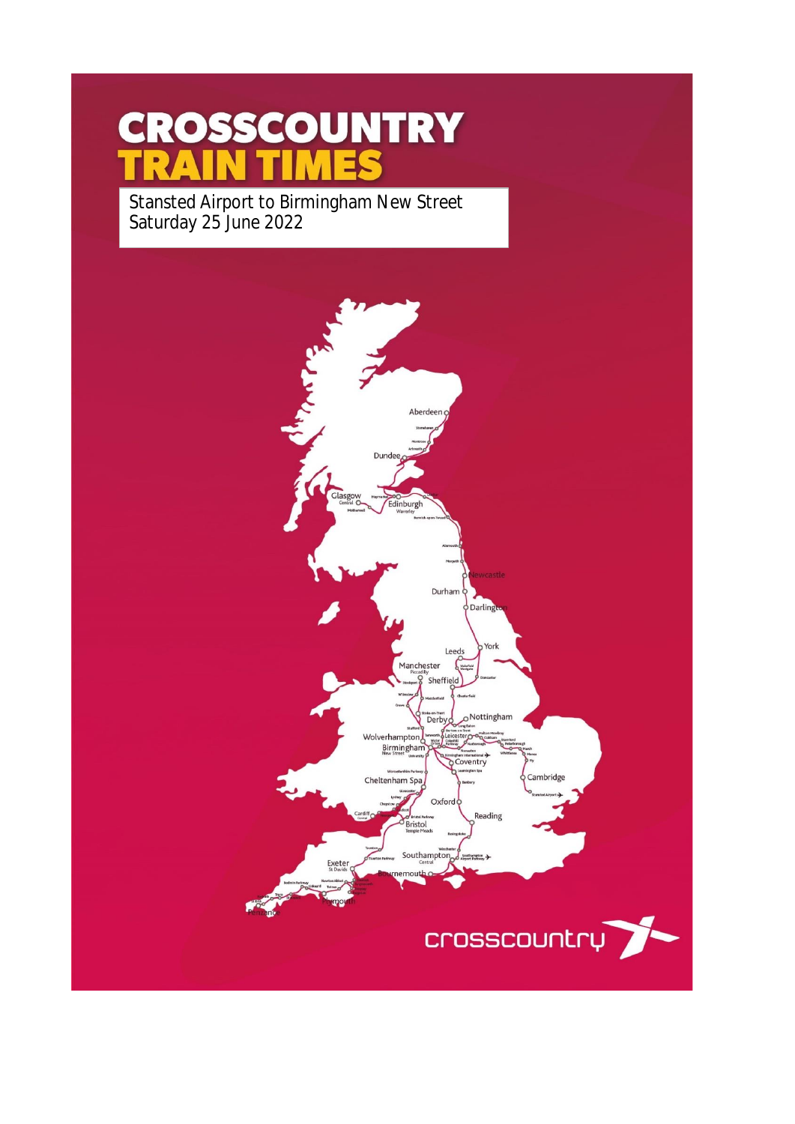# **CROSSCOUNTRY** MES

Stansted Airport to Birmingham New Street Saturday 25 June 2022

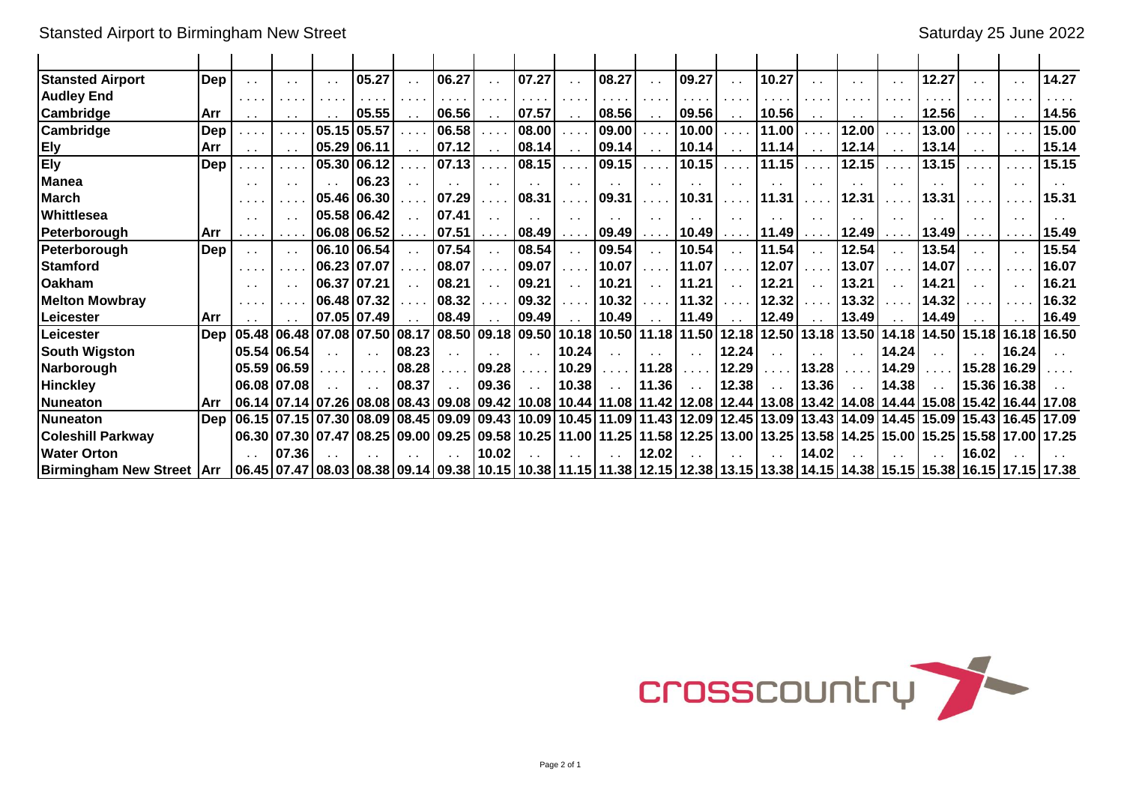| <b>Stansted Airport</b>            | Dep        | $\sim$ $\sim$                                                                           | $\sim$            | $\sim$ | 05.27                |       | 06.27                                                                                                                                                   |               | 07.27         |                                     | 08.27 | $\sim$ $\sim$        | 09.27         | $\mathbf{r}$  | 10.27                 |       |                               | $\sim$               | 12.27                                                                 |               | $\sim$ $\sim$ | 14.27  |
|------------------------------------|------------|-----------------------------------------------------------------------------------------|-------------------|--------|----------------------|-------|---------------------------------------------------------------------------------------------------------------------------------------------------------|---------------|---------------|-------------------------------------|-------|----------------------|---------------|---------------|-----------------------|-------|-------------------------------|----------------------|-----------------------------------------------------------------------|---------------|---------------|--------|
| <b>Audley End</b>                  |            | $\sim$ 100 $\sim$ 100 $\sim$                                                            |                   |        |                      |       |                                                                                                                                                         |               |               |                                     |       |                      |               |               |                       |       |                               |                      |                                                                       |               |               |        |
| <b>Cambridge</b>                   | Arr        | $\sim 10$                                                                               | $\sim$ $\sim$     |        | 05.55                |       | 06.56                                                                                                                                                   |               | 07.57         | $\sim$ $\sim$                       | 08.56 | $\sim$ $\sim$        | 09.56         | $\sim$ $\sim$ | 10.56                 |       |                               | $\sim$ $\sim$        | 12.56                                                                 | $\sim$ $\sim$ | $\sim$ $\sim$ | 14.56  |
| <b>Cambridge</b>                   | Dep        | a series.                                                                               |                   | 05.15  | 05.57                |       | 06.58                                                                                                                                                   | a an          | 08.00         | .                                   | 09.00 | والمتعاد             | 10.00         |               | 11.00                 |       | 12.00                         |                      | 13.00                                                                 |               | .             | 15.00  |
| <b>Ely</b>                         | <b>Arr</b> | $\sim$ $\sim$                                                                           |                   | 05.29  | 06.11                |       | 07.12                                                                                                                                                   | $\sim$ $\sim$ | 08.14         | $\sim$ $\sim$                       | 09.14 | $\sim$ $\sim$        | 10.14         | $\sim$ $\sim$ | 11.14                 |       | 12.14                         | $\sim$ $\sim$        | 13.14                                                                 | $\sim$ $\sim$ | $\sim$ $\sim$ | 15.14  |
| <b>Ely</b>                         | Dep        | $\sim$ 10 $\pm$                                                                         |                   | 05.30  | 06.12                |       | 07.13                                                                                                                                                   |               | 08.15         | $\cdots$                            | 09.15 | $\sim 100$           | 10.15         |               | 11.15                 |       | 12.15                         |                      | 13.15                                                                 |               |               | 15.15  |
| <b>Manea</b>                       |            | $\sim$ $\sim$                                                                           |                   |        | 06.23                |       |                                                                                                                                                         |               |               | $\sim$ $\sim$                       |       |                      |               |               |                       |       |                               | $\sim$ $\sim$        |                                                                       |               |               |        |
| <b>March</b>                       |            | $\begin{array}{cccccccccc} \bullet & \bullet & \bullet & \bullet & \bullet \end{array}$ |                   | 05.46  | 06.30                |       | 07.29                                                                                                                                                   |               | 08.31         | .                                   | 09.31 | $\sim$ $\sim$ $\sim$ | 10.31         |               | 11.31                 |       | 12.31                         |                      | 13.31                                                                 |               |               | 15.31  |
| <b>Whittlesea</b>                  |            | $\sim$ $\sim$                                                                           |                   | 05.58  | 06.42                |       | 07.41                                                                                                                                                   |               | $\sim$ $\sim$ | $\sim$ $\sim$                       |       |                      |               | $\cdot$ .     |                       |       |                               | $\sim$               |                                                                       |               | $\sim$        |        |
| l Peterborouah                     | Arr        | .                                                                                       |                   | 06.08  | 06.52                |       | 07.51                                                                                                                                                   |               | 08.49         |                                     | 09.49 |                      | 10.49         |               | 11.49                 |       | 12.49                         | $\sim$ $\sim$ $\sim$ | 13.49                                                                 |               |               | 15.49  |
| Peterborough                       | Dep        | $\sim$ $\sim$                                                                           | $\sim$            | 06.10  | 06.54                |       | 07.54                                                                                                                                                   |               | 08.54         | $\sim$ $\sim$                       | 09.54 | $\sim 10$            | 10.54         | $\mathbf{r}$  | 11.54                 |       | 12.54                         |                      | 13.54                                                                 | $\sim$        | $\sim$ $\sim$ | 15.54  |
| Stamford                           |            | $\begin{array}{cccccccccc} \bullet & \bullet & \bullet & \bullet & \bullet \end{array}$ |                   | 06.23  | 07.07                |       | 08.07                                                                                                                                                   |               | 09.07         |                                     | 10.07 |                      | 11.07         |               | 12.07                 |       | 13.07                         |                      | 14.07                                                                 |               |               | 16.07  |
| <b>Oakham</b>                      |            | $\sim$ $\sim$                                                                           |                   |        | 06.37 07.21          |       | 08.21                                                                                                                                                   |               | 09.21         | $\sim$                              | 10.21 | $\ddot{\phantom{a}}$ | 11.21         | . .           | 12.21                 |       | 13.21                         |                      | 14.21                                                                 |               | $\sim$ $\sim$ | 16.21  |
| <b>Melton Mowbray</b>              |            | $\mathbf{a} = \mathbf{a} + \mathbf{a} + \mathbf{b}$                                     |                   |        | 06.48 07.32          |       | 08.32                                                                                                                                                   |               | 09.32         |                                     | 10.32 |                      | 11.32         |               | 12.32                 |       | 13.32                         |                      | 14.32                                                                 |               |               | 16.32  |
| lLeicester                         | Arr        |                                                                                         |                   |        | 07.05 07.49          |       | 08.49                                                                                                                                                   |               | 09.49         |                                     | 10.49 |                      | 11.49         | $\sim$ $\sim$ | 12.49                 |       | 13.49                         |                      | 14.49                                                                 |               |               | 16.49  |
| lLeicester                         | Dep        |                                                                                         | 05.48 06.48       | 07.08  | 07.50                | 08.17 | 08.50                                                                                                                                                   |               | 09.18 09.50   | 10.18                               | 10.50 |                      | $11.18$ 11.50 | 12.18         | 12.50                 | 13.18 | 13.50                         | 14.18                | 14.50                                                                 | 15.18         | 16.18         | 16.50  |
| <b>South Wigston</b>               |            |                                                                                         | 05.54 06.54       |        | $\ddot{\phantom{0}}$ | 08.23 |                                                                                                                                                         |               | $\sim$        | 10.24                               |       |                      | $\sim$ $\sim$ | 12.24         |                       |       |                               | 14.24                |                                                                       |               | 16.24         |        |
| Narborough                         |            |                                                                                         | 05.59106.59       |        |                      | 08.28 |                                                                                                                                                         | 09.28         |               | 10.29                               |       | 11.28                |               | 12.29         |                       | 13.28 |                               | 14.29                |                                                                       | 15.28         | 16.29         |        |
| <b>Hinckley</b>                    |            |                                                                                         | 06.08107.08       |        |                      | 08.37 |                                                                                                                                                         | 09.36         |               | 10.38                               |       | 11.36                |               | 12.38         |                       | 13.36 |                               | 14.38                |                                                                       | 15.36         | 16.38         |        |
| Nuneaton                           | Arr        |                                                                                         |                   |        |                      |       | 06.14 07.14 07.26 08.08 08.43 09.08                                                                                                                     |               |               | 09.42 10.08 10.44 11.08 11.42 12.08 |       |                      |               |               |                       |       | 12.44   13.08   13.42   14.08 |                      | 14.44115.08115.42116.441                                              |               |               | 117.08 |
| <b>INuneaton</b>                   | Dep        |                                                                                         | 06.15 07.15 07.30 |        |                      |       | 08.09   08.45   09.09                                                                                                                                   |               |               | 09.43 10.09 10.45 11.09             |       |                      | 11.43 12.09   |               | 12.45   13.09   13.43 |       | 14.09                         |                      | 14.45 15.09                                                           |               | 15.43 16.45   | 17.09  |
| <b>Coleshill Parkway</b>           |            |                                                                                         | 06.30 07.30       | 07.47  |                      |       | 08.25 09.00 09.25                                                                                                                                       | 09.58         |               | 10.25 11.00                         | 11.25 | 11.58 12.25          |               |               | 13.00   13.25         | 13.58 | 14.25                         |                      | 15.00   15.25                                                         | 15.58         | 17.00         | 17.25  |
| <b>Water Orton</b>                 |            |                                                                                         | 07.36             |        |                      |       |                                                                                                                                                         | 10.02         |               |                                     |       | 12.02                |               |               |                       | 14.02 |                               |                      |                                                                       | 16.02         |               |        |
| <b>Birmingham New Street   Arr</b> |            |                                                                                         |                   |        |                      |       | $\vert 06.45 \vert 07.47 \vert 08.03 \vert 08.38 \vert 09.14 \vert 09.38 \vert 10.15 \vert 10.38 \vert 11.15 \vert 11.38 \vert 12.15 \vert 12.38 \vert$ |               |               |                                     |       |                      |               |               |                       |       |                               |                      | 13.15   13.38   14.15   14.38   15.15   15.38   16.15   17.15   17.38 |               |               |        |

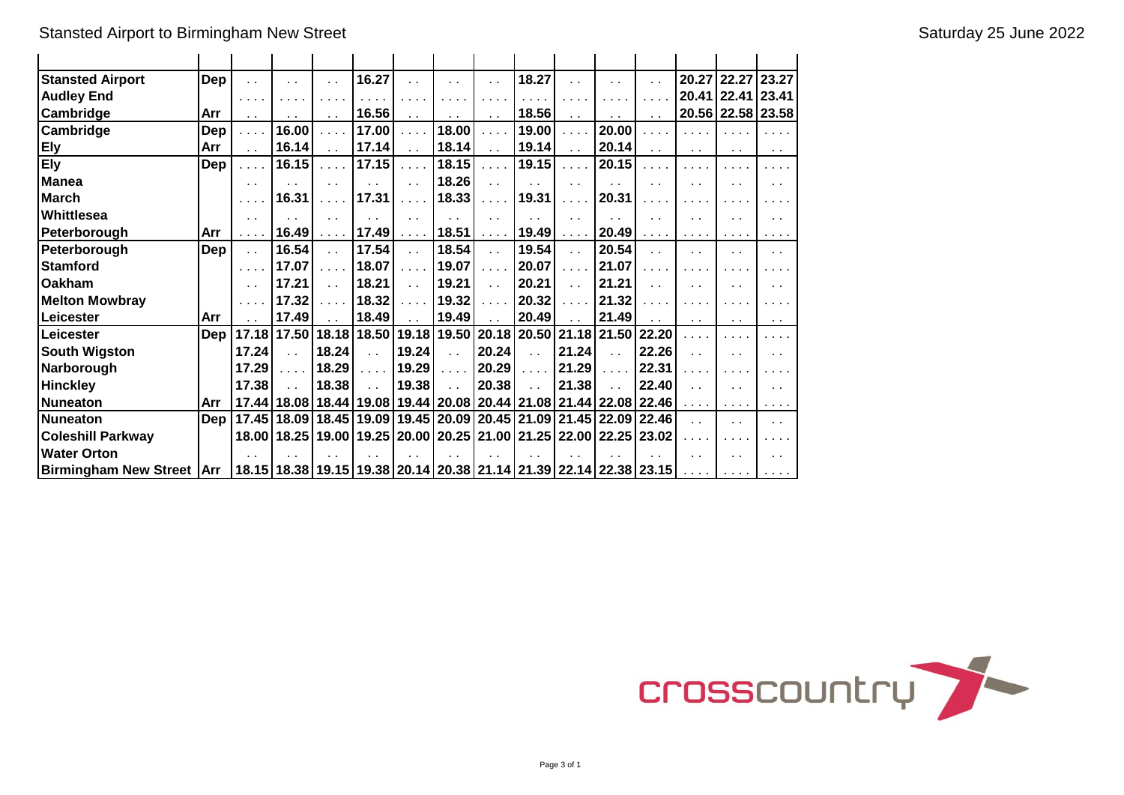| <b>Stansted Airport</b>            | Dep        | . .           |                      | . .                            | 16.27                   |                             |                         | . .                                                 | 18.27                                                                                 |                                |                      |                                            |                                           | 20.27 22.27 23.27    |                             |
|------------------------------------|------------|---------------|----------------------|--------------------------------|-------------------------|-----------------------------|-------------------------|-----------------------------------------------------|---------------------------------------------------------------------------------------|--------------------------------|----------------------|--------------------------------------------|-------------------------------------------|----------------------|-----------------------------|
| <b>Audley End</b>                  |            | .             |                      |                                |                         | $\sim$                      |                         |                                                     |                                                                                       | $\cdots$                       |                      |                                            |                                           | 20.41 22.41 23.41    |                             |
| Cambridge                          | Arr        | $\sim$ $\sim$ |                      |                                | 16.56                   |                             |                         |                                                     | 18.56                                                                                 | $\sim$ $\sim$                  |                      | $\ddot{\phantom{1}}$                       |                                           |                      | 20.56 22.58 23.58           |
| Cambridge                          | Dep        | .             | 16.00                | .                              | 17.00                   | $\cdots$                    | 18.00                   | $\sim 100$ km s $^{-1}$                             | 19.00                                                                                 | .                              | 20.00                | .                                          | $\cdots$                                  | $\cdots$             | $\sim$ $\sim$ $\sim$ $\sim$ |
| <b>Ely</b>                         | Arr        | $\ddotsc$     | 16.14                | . .                            | 17.14                   | $\sim$ $\sim$               | 18.14                   | $\sim$ $\sim$                                       | 19.14                                                                                 | $\sim$ $\sim$                  | 20.14                | $\sim$ $\sim$                              | $\sim$                                    | $\sim$ $\sim$        | $\sim$ $\sim$               |
| <b>Ely</b>                         | Dep        | .             | 16.15                | .                              | 17.15                   | $\cdots$                    | 18.15                   | $\sim 100$ km s $^{-1}$                             | 19.15                                                                                 | $\alpha$ , $\alpha$ , $\alpha$ | 20.15                | $\sim$ $\sim$ $\sim$                       | $\sim$ $\sim$ $\sim$                      |                      | .                           |
| <b>Manea</b>                       |            | $\sim$ $\sim$ |                      | $\ddot{\phantom{a}}$           |                         | $\ddot{\phantom{a}}$        | 18.26                   | $\ddot{\phantom{0}}$                                | . .                                                                                   | $\ddot{\phantom{0}}$           |                      | $\ddot{\phantom{0}}$                       |                                           |                      | $\sim$                      |
| <b>March</b>                       |            | .             | 16.31                | $\sim 100$ km s $^{-1}$        | 17.31                   | $\mathbf{1}$ , $\mathbf{1}$ | 18.33                   | $\alpha$ , $\alpha$ , $\alpha$                      | 19.31                                                                                 | .                              | 20.31                | .                                          | $\sim$ $\sim$ $\sim$                      |                      |                             |
| Whittlesea                         |            | $\sim$ $\sim$ |                      | $\ddot{\phantom{1}}$           | . .                     | $\sim$ 10 $\pm$             | $\sim$                  | . .                                                 | . .                                                                                   | $\sim$                         |                      | $\sim$ $\sim$                              |                                           |                      | $\sim$ $\sim$               |
| Peterborough                       | Arr        |               | 16.49                | $\alpha$ , $\alpha$ , $\alpha$ | 17.49                   | $\sim$ $\sim$ $\sim$ $\sim$ | 18.51                   | $\sim$ $\sim$ $\sim$ $\sim$                         | 19.49                                                                                 | $\sim$ $\sim$ $\sim$ $\sim$    | 20.49                | $\mathbf{r}$ , $\mathbf{r}$ , $\mathbf{r}$ | $\cdots$                                  | $\sim$ $\sim$ $\sim$ | $\cdots$                    |
| Peterborough                       | Dep        | $\sim$ $\sim$ | 16.54                | έx.                            | 17.54                   | $\sim 10$                   | 18.54                   | $\mathbf{r}$                                        | 19.54                                                                                 | $\sim 10$                      | 20.54                | $\ddot{\phantom{a}}$                       | . .                                       | $\ddotsc$            | $\sim$ $\sim$               |
| <b>Stamford</b>                    |            | $\cdots$      | 17.07                | .                              | 18.07                   | $\ldots$ .                  | 19.07                   | $\mathcal{L} \times \mathcal{L} \times \mathcal{L}$ | 20.07                                                                                 | $\sim 100$ km s $^{-1}$        | 21.07                | .                                          | $\sim$ $\sim$                             |                      |                             |
| <b>Oakham</b>                      |            | . .           | 17.21                | $\sim$ $\sim$                  | 18.21                   | $\sim$ $\sim$               | 19.21                   | $\sim 10$                                           | 20.21                                                                                 | $\mathbf{r}$ .                 | 21.21                | $\ddot{\phantom{1}}$                       |                                           |                      | $\sim$                      |
| <b>Melton Mowbray</b>              |            |               | 17.32                | .                              | 18.32                   | .                           | 19.32                   | $\cdots$                                            | 20.32                                                                                 | .                              | 21.32                |                                            |                                           |                      |                             |
| Leicester                          | Arr        |               | 17.49                |                                | 18.49                   | $\ddot{\phantom{0}}$        | 19.49                   | $\ddot{\phantom{a}}$                                | 20.49                                                                                 | $\ddot{\phantom{a}}$           | 21.49                | $\ddot{\phantom{1}}$                       | $\sim$                                    | $\sim$ $\sim$        | $\sim$ $\sim$               |
| Leicester                          | Dep        |               | 17.18 17.50          |                                | 18.18 18.50             |                             |                         |                                                     | 19.18 19.50 20.18 20.50 21.18 21.50                                                   |                                |                      | 22.20                                      |                                           |                      |                             |
| <b>South Wigston</b>               |            | 17.24         | $\ddot{\phantom{a}}$ | 18.24                          | $\sim$ $\sim$           | 19.24                       | $\sim$ $\sim$           | 20.24                                               | $\sim$ $\sim$                                                                         | 21.24                          | $\ddot{\phantom{a}}$ | 22.26                                      | $\ddot{\phantom{a}}$                      |                      | $\ddot{\phantom{0}}$        |
| Narborough                         |            | 17.29         | $\cdots$             | 18.29                          | $\sim 100$ km s $^{-1}$ | 19.29                       | $\sim 100$ km s $^{-1}$ | 20.29                                               | $\ldots$ .                                                                            | 21.29                          | $\cdots$             | 22.31                                      |                                           |                      |                             |
| <b>Hinckley</b>                    |            | 17.38         |                      | 18.38                          | $\sim$                  | 19.38                       | $\sim$                  | 20.38                                               | $\ddot{\phantom{a}}$                                                                  | 21.38                          | $\sim$               | 22.40                                      | $\ddot{\phantom{a}}$                      |                      | $\sim$ $\sim$               |
| Nuneaton                           | Arr        |               |                      |                                |                         |                             |                         |                                                     | 17.44   18.08   18.44   19.08   19.44   20.08   20.44   21.08   21.44   22.08   22.46 |                                |                      |                                            | $\alpha$ , $\alpha$ , $\alpha$ , $\alpha$ | $\cdots$             | .                           |
| <b>INuneaton</b>                   | <b>Dep</b> |               |                      |                                |                         |                             |                         |                                                     | 17.45   18.09   18.45   19.09   19.45   20.09   20.45   21.09   21.45   22.09   22.46 |                                |                      |                                            | $\ddot{\phantom{a}}$                      | . .                  | $\sim$                      |
| <b>Coleshill Parkway</b>           |            |               | 18.00   18.25        |                                |                         |                             |                         |                                                     | 19.00   19.25   20.00   20.25   21.00   21.25   22.00   22.25   23.02                 |                                |                      |                                            |                                           |                      |                             |
| <b>Water Orton</b>                 |            |               |                      |                                |                         |                             |                         |                                                     |                                                                                       |                                |                      |                                            | . .                                       |                      | $\sim$ $\sim$               |
| <b>Birmingham New Street   Arr</b> |            |               |                      |                                |                         |                             |                         |                                                     | 18.15   18.38   19.15   19.38   20.14   20.38   21.14   21.39   22.14   22.38   23.15 |                                |                      |                                            | $\sim$ 100 $\sim$ 100 $\sim$              |                      |                             |

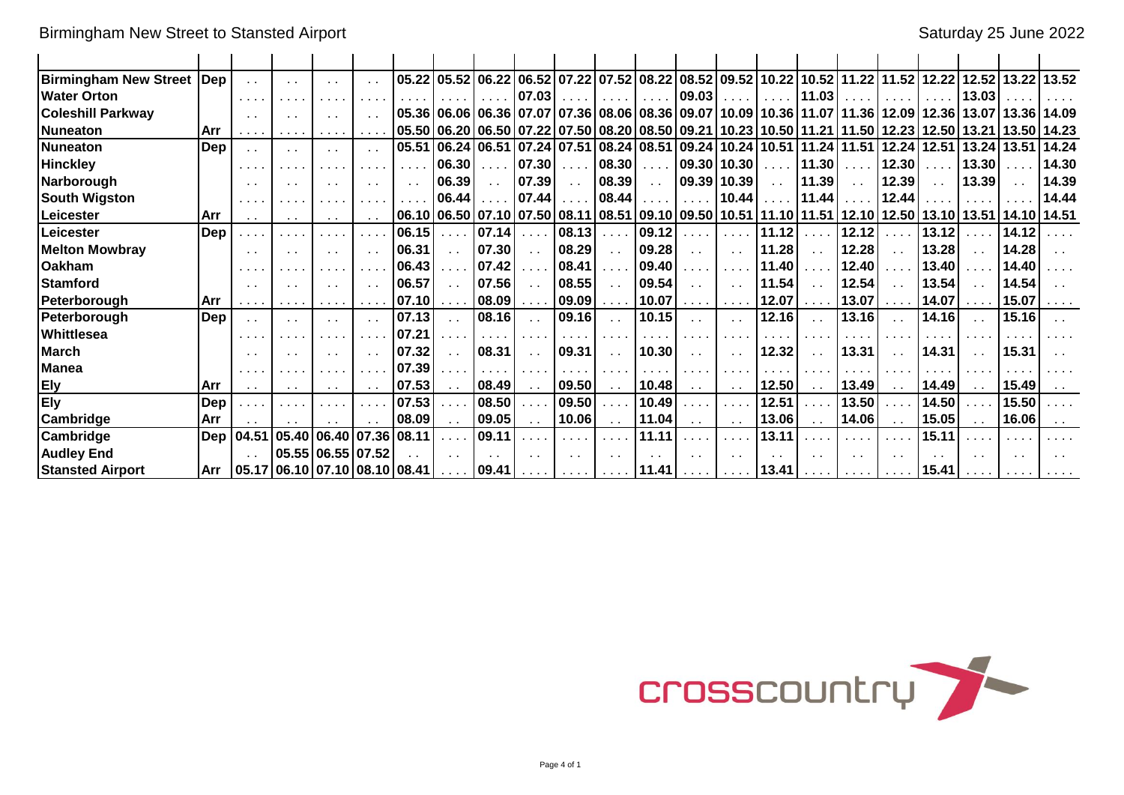| Birmingham New Street   Dep |            | $\sim$ $\sim$   | $\sim$                        | . .               | 05.22 |                      |               |                      |                              |                             |            | 05.52 06.22 06.52 07.22 07.52 08.22 08.52 09.52 10.22 10.52 11.22 11.52 12.22 12.52 13.22 |                             |       |                                           |                             |                             |                 |               |             | 13.52                 |
|-----------------------------|------------|-----------------|-------------------------------|-------------------|-------|----------------------|---------------|----------------------|------------------------------|-----------------------------|------------|-------------------------------------------------------------------------------------------|-----------------------------|-------|-------------------------------------------|-----------------------------|-----------------------------|-----------------|---------------|-------------|-----------------------|
| <b>Water Orton</b>          |            | $\cdots$        |                               |                   |       |                      |               | 07.03                |                              |                             |            | 09.03                                                                                     |                             |       | 11.03                                     |                             |                             |                 | 13.03         |             |                       |
| <b>Coleshill Parkway</b>    |            | $\sim$ 10 $\pm$ | $\sim$                        | $\sim$ $\sim$     |       |                      |               |                      |                              |                             |            | 05.36 06.06 06.36 07.07 07.36 08.06 08.36 09.07 10.09 10.36 11.07 11.36 12.09 12.36       |                             |       |                                           |                             |                             |                 |               |             | 13.07 13.36 14.09     |
| <b>Nuneaton</b>             | l Arr      |                 | .                             |                   |       |                      |               |                      |                              |                             |            | 05.50 06.20 06.50 07.22 07.50 08.20 08.50 09.21 10.23 10.50 11.21 11.50 12.23 12.50       |                             |       |                                           |                             |                             |                 |               |             | 13.21   13.50   14.23 |
| Nuneaton                    | <b>Dep</b> | $\sim$ $\sim$   | $\sim$ 10 $\pm$               | $\sim$            | 05.51 |                      |               |                      |                              |                             |            | 06.24   06.51   07.24   07.51   08.24   08.51   09.24   10.24   10.51                     |                             |       | $11.24$ 11.51                             |                             |                             | $12.24$   12.51 | 13.24         | 13.51       | 14.24                 |
| <b>Hinckley</b>             |            | $\cdots$        |                               |                   |       | 06.30                |               | 07.30                | .                            | 08.30                       | $\sim 100$ | 09.30   10.30                                                                             |                             |       | 11.30                                     | .                           | 12.30                       | .               | 13.30         |             | 14.30                 |
| Narborough                  |            | $\sim$ $\sim$   | $\sim$ $\sim$                 | $\sim$ $\sim$     |       | 06.39                | $\sim$ $\sim$ | 07.39                | $\sim$ $\sim$                | 08.39                       | $\sim 10$  |                                                                                           | 09.39 10.39                 |       | 11.39                                     | $\sim$ $\sim$               | 12.39                       | $\sim$ $\sim$   | 13.39         | $\sim 10$   | 14.39                 |
| <b>South Wigston</b>        |            | $\cdots$        |                               |                   |       | 06.44                |               | 07.44                |                              | 08.44                       |            |                                                                                           | 10.44                       |       | 11.44                                     |                             | 12.44                       |                 |               |             | 14.44                 |
| Leicester                   | l Arr      | $\sim$ $\sim$   | $\sim$ $\sim$                 | $\sim$ $\sim$     |       |                      |               |                      |                              |                             |            | 06.10 06.50 07.10 07.50 08.11 08.51 09.10 09.50 10.51 11.10 11.51 12.10 12.50 13.10 13.51 |                             |       |                                           |                             |                             |                 |               | 14.10 14.51 |                       |
| Leicester                   | Dep        |                 |                               |                   | 06.15 |                      | 07.14         | .                    | 08.13                        |                             | 09.12      |                                                                                           |                             | 11.12 |                                           | 12.12                       |                             | 13.12           |               | 14.12       |                       |
| <b>Melton Mowbray</b>       |            | $\sim$ $\sim$   | $\sim$ $\sim$                 | $\sim$ $\sim$     | 06.31 |                      | 07.30         | $\ddot{\phantom{a}}$ | 08.29                        | $\ddot{\phantom{0}}$        | 09.28      | $\sim$ $\sim$                                                                             |                             | 11.28 |                                           | 12.28                       | $\ddot{\phantom{a}}$        | 13.28           | $\sim$        | 14.28       |                       |
| <b>Oakham</b>               |            | .               |                               |                   | 06.43 |                      | 07.42         |                      | 08.41                        |                             | 09.40      |                                                                                           |                             | 11.40 |                                           | 12.40                       |                             | 13.40           |               | 14.40       |                       |
| <b>Stamford</b>             |            | $\sim$ $\sim$   | $\sim$ $\sim$                 | $\sim$ $\sim$     | 06.57 |                      | 07.56         | $\ddot{\phantom{a}}$ | 08.55                        | $\ddot{\phantom{0}}$        | 09.54      | $\sim$ $\sim$                                                                             |                             | 11.54 |                                           | 12.54                       |                             | 13.54           | $\sim$        | 14.54       |                       |
| Peterborough                | l Arr      |                 |                               |                   | 07.10 | $\sim$ $\sim$ $\sim$ | 08.09         | $\cdots$             | 09.09                        | $\sim$ $\sim$ $\sim$ $\sim$ | 10.07      | $\mathbf{r}$ , and $\mathbf{r}$                                                           |                             | 12.07 | $\sim 100$ km s $^{-1}$                   | 13.07                       |                             | 14.07           |               | 15.07       |                       |
| Peterborough                | <b>Dep</b> | $\sim$ $\sim$   | $\sim$ $\sim$                 | $\sim$ 10 $\pm$   | 07.13 |                      | 08.16         | $\sim$ $\sim$        | 09.16                        | $\sim$ $\sim$               | 10.15      | $\sim$ $\sim$                                                                             |                             | 12.16 |                                           | 13.16                       | $\ddot{\phantom{0}}$        | 14.16           | $\mathbf{r}$  | 15.16       |                       |
| Whittlesea                  |            |                 |                               |                   | 07.21 |                      |               | .                    |                              |                             |            |                                                                                           |                             |       |                                           |                             |                             |                 |               |             |                       |
| <b>March</b>                |            |                 |                               | $\sim$ $\sim$     | 07.32 |                      | 08.31         |                      | 09.31                        | $\sim$ $\sim$               | 10.30      | $\sim$ $\sim$                                                                             |                             | 12.32 |                                           | 13.31                       |                             | 14.31           | $\sim$ $\sim$ | 15.31       |                       |
| <b>Manea</b>                |            | .               |                               |                   | 07.39 |                      |               | .                    |                              |                             |            |                                                                                           |                             |       |                                           |                             |                             |                 |               |             |                       |
| <b>Ely</b>                  | l Arr      | $\sim$ 10 $\pm$ | $\sim$ 10 $\pm$               | $\sim$ $\sim$     | 07.53 | $\sim$ $\sim$        | 08.49         | $\sim$ $\sim$        | 09.50                        | $\sim$ $\sim$               | 10.48      | $\sim$ $\sim$                                                                             |                             | 12.50 | $\sim$ $\sim$                             | 13.49                       | $\sim$ $\sim$               | 14.49           |               | 15.49       |                       |
| <b>Ely</b>                  | Dep        |                 |                               |                   | 07.53 |                      | 08.50         | .                    | 09.50                        |                             | 10.49      | $\sim$ $\sim$ $\sim$                                                                      |                             | 12.51 |                                           | 13.50                       |                             | 14.50           |               | 15.50       |                       |
| <b>Cambridge</b>            | Arr        |                 |                               |                   | 08.09 | $\sim$ $\sim$        | 09.05         | $\sim$ $\sim$        | 10.06                        | $\sim$ $\sim$               | 11.04      | $\sim$ $\sim$                                                                             |                             | 13.06 | $\sim$ $\sim$                             | 14.06                       | $\sim$ $\sim$               | 15.05           |               | 16.06       |                       |
| <b>Cambridge</b>            | Dep        | 04.51           | 05.40   06.40   07.36         |                   | 08.11 |                      | 09.11         |                      | e a la                       |                             | 11.11      |                                                                                           |                             | 13.11 |                                           |                             |                             | 15.11           |               |             |                       |
| <b>Audley End</b>           |            |                 |                               | 05.55 06.55 07.52 |       |                      |               |                      |                              |                             |            |                                                                                           |                             |       |                                           |                             |                             |                 |               |             |                       |
| <b>Stansted Airport</b>     | <b>Arr</b> |                 | 05.17 06.10 07.10 08.10 08.41 |                   |       | <b>Service</b>       | 09.41         | $\cdots$             | $\sim$ 100 $\sim$ 100 $\sim$ | $\sim$ $\sim$ $\sim$ $\sim$ | 11.41      | <b>Service</b>                                                                            | $\sim$ $\sim$ $\sim$ $\sim$ | 13.41 | $\alpha$ , $\alpha$ , $\alpha$ , $\alpha$ | $\sim$ $\sim$ $\sim$ $\sim$ | $\sim$ $\sim$ $\sim$ $\sim$ | 15.41           |               |             |                       |

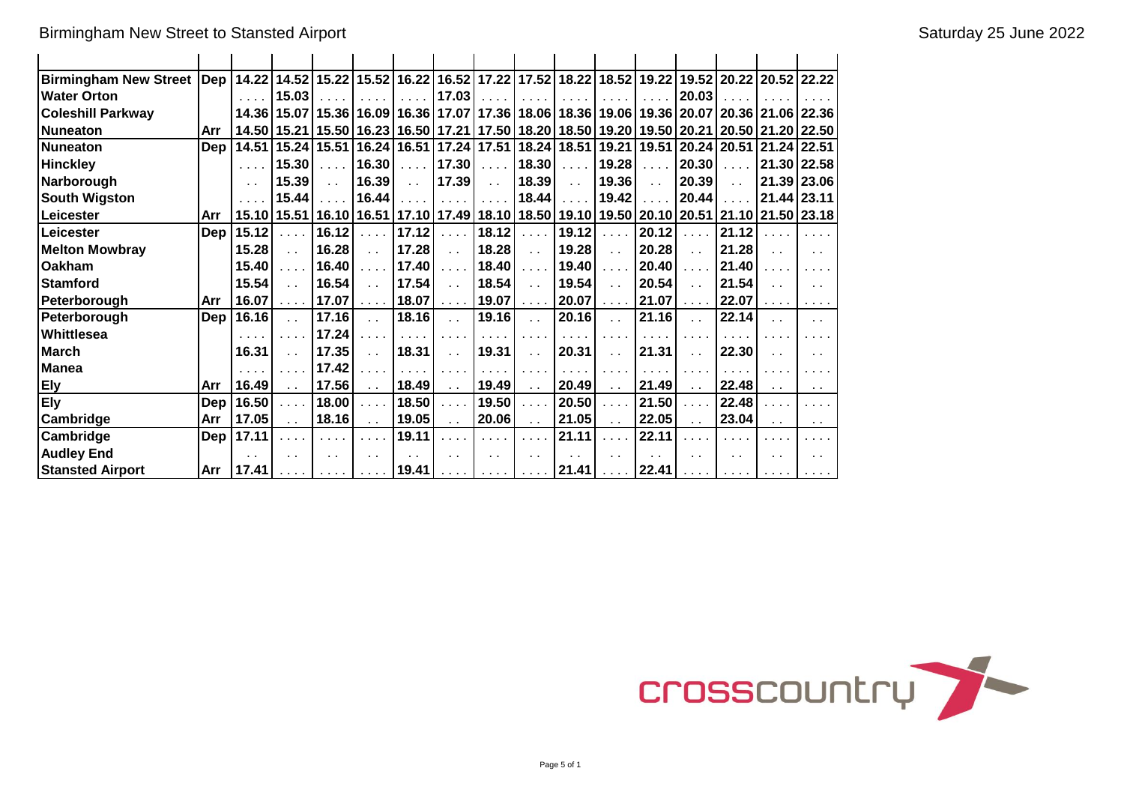Birmingham New Street to Stansted Airport School School and School Saturday 25 June 2022

| Birmingham New Street  Dep   14.22   14.52   15.22   15.52   16.22   16.52   17.22   17.52   18.22   18.52   19.22   19.52   20.22   20.52   22.22 |     |                      |                                                                                                                       |                                                             |                             |                         |                                                                          |                                                                          |                                                             |                                |                                                     |                             |                                           |                                            |                                           |                                                             |
|----------------------------------------------------------------------------------------------------------------------------------------------------|-----|----------------------|-----------------------------------------------------------------------------------------------------------------------|-------------------------------------------------------------|-----------------------------|-------------------------|--------------------------------------------------------------------------|--------------------------------------------------------------------------|-------------------------------------------------------------|--------------------------------|-----------------------------------------------------|-----------------------------|-------------------------------------------|--------------------------------------------|-------------------------------------------|-------------------------------------------------------------|
| <b>Water Orton</b>                                                                                                                                 |     |                      | 15.03                                                                                                                 |                                                             | .                           |                         | 17.03                                                                    |                                                                          |                                                             |                                |                                                     |                             | 20.03                                     |                                            | .                                         | $\mathbf{a}$ , $\mathbf{a}$ , $\mathbf{a}$ , $\mathbf{a}$ , |
| <b>Coleshill Parkway</b>                                                                                                                           |     |                      | 14.36   15.07   15.36   16.09   16.36   17.07   17.36   18.06   18.36   19.06   19.36   20.07   20.36   21.06   22.36 |                                                             |                             |                         |                                                                          |                                                                          |                                                             |                                |                                                     |                             |                                           |                                            |                                           |                                                             |
| <b>Nuneaton</b>                                                                                                                                    | Arr |                      | 14.50   15.21   15.50   16.23   16.50   17.21   17.50   18.20   18.50   19.20   19.50   20.21   20.50   21.20   22.50 |                                                             |                             |                         |                                                                          |                                                                          |                                                             |                                |                                                     |                             |                                           |                                            |                                           |                                                             |
| <b>Nuneaton</b>                                                                                                                                    | Dep |                      | 14.51   15.24   15.51   16.24   16.51   17.24   17.51   18.24   18.51   19.21   19.51   20.24   20.51   21.24   22.51 |                                                             |                             |                         |                                                                          |                                                                          |                                                             |                                |                                                     |                             |                                           |                                            |                                           |                                                             |
| <b>Hinckley</b>                                                                                                                                    |     |                      | 15.30                                                                                                                 | $\cdots$                                                    | 16.30                       | $\sim 100$ km s $^{-1}$ | 17.30                                                                    | $\cdots$                                                                 | 18.30                                                       | $\alpha$ , $\alpha$ , $\alpha$ | 19.28                                               | $\mathbf{1}$                | 20.30                                     | $\cdots$                                   |                                           | 21.30 22.58                                                 |
| Narborough                                                                                                                                         |     | $\sim$ $\sim$        | 15.39                                                                                                                 | $\sim$                                                      | 16.39                       | $\sim 10^{-1}$          | 17.39                                                                    | $\sim 10$                                                                | 18.39                                                       | $\sim 10^7$                    | 19.36                                               | $\mathcal{L}(\mathcal{A})$  | 20.39                                     | $\sim 10$                                  |                                           | 21.39 23.06                                                 |
| <b>South Wigston</b>                                                                                                                               |     |                      | 15.44                                                                                                                 | 2.1111                                                      | 16.44                       | $\cdots$                | . 1                                                                      | $\alpha$ , $\alpha$ , $\alpha$                                           | 18.44                                                       | $\alpha$ , $\alpha$ , $\alpha$ | 19.42                                               | $\cdots$                    | 20.44                                     | $\mathbf{1}$ , $\mathbf{1}$ , $\mathbf{1}$ | 21.44   23.11                             |                                                             |
| Leicester                                                                                                                                          | Arr |                      | 15.10   15.51   16.10   16.51   17.10   17.49   18.10   18.50   19.10   19.50   20.10   20.51   21.10   21.50   23.18 |                                                             |                             |                         |                                                                          |                                                                          |                                                             |                                |                                                     |                             |                                           |                                            |                                           |                                                             |
| Leicester                                                                                                                                          | Dep | 15.12                | $\alpha$ , $\alpha$ , $\alpha$                                                                                        | 16.12                                                       | $\cdots$                    | 17.12                   | $\mathcal{L} \times \mathcal{L} \times \mathcal{L}$                      | 18.12                                                                    | $\mathcal{L} \times \mathcal{L} \times \mathcal{L}$         | 19.12                          | $\mathcal{L} \times \mathcal{L} \times \mathcal{L}$ | 20.12                       | $\cdots$                                  | 21.12                                      |                                           | .                                                           |
| <b>Melton Mowbray</b>                                                                                                                              |     | 15.28                | $\mathbf{r}$                                                                                                          | 16.28                                                       | $\ddot{\phantom{a}}$        | 17.28                   | $\mathbf{r}$                                                             | 18.28                                                                    | $\sim$ $\sim$                                               | 19.28                          | $\sim 10^7$                                         | 20.28                       | $\mathbf{r}$                              | 21.28                                      | $\mathbf{r}$                              | $\sim$                                                      |
| Oakham                                                                                                                                             |     | 15.40                | $\cdots$                                                                                                              | 16.40                                                       | $\cdots$                    | 17.40                   | $\sim 100$ km s $^{-1}$                                                  | 18.40                                                                    | $\mathbf{1}$ , $\mathbf{1}$ , $\mathbf{1}$                  | 19.40                          | $\cdots$                                            | 20.40                       | $\mathbf{r}$                              | 21.40                                      | .                                         | .                                                           |
| <b>Stamford</b>                                                                                                                                    |     | 15.54                | $\sim 10$                                                                                                             | 16.54                                                       | $\sim$ $\sim$               | 17.54                   | $\sim 10$                                                                | 18.54                                                                    | $\bar{a}$ .                                                 | 19.54                          | $\sim 10^{-1}$                                      | 20.54                       | $\sim$ $\sim$                             | 21.54                                      | $\ddot{\phantom{a}}$                      | $\sim$ $\sim$                                               |
| Peterborough                                                                                                                                       | Arr | 16.07                | $\mathcal{L}^{\mathcal{A}}$ , $\mathcal{L}^{\mathcal{A}}$ , $\mathcal{L}^{\mathcal{A}}$                               | 17.07                                                       | $\sim$ $\sim$ $\sim$ $\sim$ | 18.07                   | $\sim 100$ km s $^{-1}$                                                  | 19.07                                                                    | $\mathcal{L} \times \mathcal{L} \times \mathcal{L}$         | 20.07                          | $\mathbf{z}$ , and $\mathbf{z}$                     | 21.07                       | $\alpha$ , $\alpha$ , $\alpha$            | 22.07                                      | $\alpha$ , $\alpha$ , $\alpha$ , $\alpha$ | .                                                           |
| Peterborough                                                                                                                                       | Dep | 16.16                | $\sim 10$                                                                                                             | 17.16                                                       | $\ddot{\phantom{a}}$        | 18.16                   | $\sim 10$                                                                | 19.16                                                                    | $\sim$ .                                                    | 20.16                          | $\mathbf{r}$                                        | 21.16                       | $\sim$                                    | 22.14                                      |                                           | . .                                                         |
| Whittlesea                                                                                                                                         |     |                      | $\cdots$                                                                                                              | 17.24                                                       | $\sim$ $\sim$ $\sim$ $\sim$ | $\cdots$                | $\cdots$                                                                 | .                                                                        | $\cdots$                                                    | $\cdots$                       | $\cdots$                                            | $\cdots$                    | $\cdots$                                  | $\cdots$                                   |                                           |                                                             |
| <b>March</b>                                                                                                                                       |     | 16.31                | $\sim 10$                                                                                                             | 17.35                                                       | $\mathbf{r}$                | 18.31                   | $\sim 10$                                                                | 19.31                                                                    | $\ddot{\phantom{a}}$                                        | 20.31                          | $\ddot{\phantom{a}}$                                | 21.31                       | $\sim$ $\sim$                             | 22.30                                      |                                           | . .                                                         |
| <b>Manea</b>                                                                                                                                       |     | $\cdots$             | $\cdots$                                                                                                              | 17.42                                                       | $\cdots$                    | $\cdots$                | $\cdots$                                                                 | $\sim$ $\sim$ $\sim$                                                     | .                                                           | $\cdots$                       | $\cdots$                                            | $\sim$ $\sim$ $\sim$ $\sim$ | $\sim$ $\sim$                             |                                            |                                           |                                                             |
| <b>Ely</b>                                                                                                                                         | Arr | 16.49                | $\sim 10$                                                                                                             | 17.56                                                       | $\sim 1$                    | 18.49                   | $\sim 10$                                                                | 19.49                                                                    | $\sim$ $\sim$                                               | 20.49                          | $\sim$ $\sim$                                       | 21.49                       | $\sim$ $\sim$                             | 22.48                                      |                                           | $\sim$ $\sim$                                               |
| <b>Ely</b>                                                                                                                                         | Dep | 16.50                | $\sim 100$ km s $^{-1}$                                                                                               | 18.00                                                       | $\cdots$                    | 18.50                   | $\sim 100$ km s $^{-1}$                                                  | 19.50                                                                    | $\sim 100$ .                                                | 20.50                          | $\mathbf{1}$ and $\mathbf{1}$                       | 21.50                       | $\mathbf{r}$                              | 22.48                                      |                                           | $\sim$ $\sim$ $\sim$                                        |
| Cambridge                                                                                                                                          | Arr | 17.05                | $\sim$ $\sim$                                                                                                         | 18.16                                                       | $\sim$ $\sim$               | 19.05                   | $\sim$ $\sim$                                                            | 20.06                                                                    | $\sim$ $\sim$                                               | 21.05                          | $\sim$ $\sim$                                       | 22.05                       | $\sim$                                    | 23.04                                      | $\sim$                                    | $\ddotsc$                                                   |
| Cambridge                                                                                                                                          | Dep | 17.11                | $\cdots$                                                                                                              | $\alpha$ , $\alpha$ , $\alpha$                              | $\cdots$                    | 19.11                   | $\sim 100$ km s $^{-1}$                                                  | $\alpha$ , $\alpha$ , $\alpha$                                           | .                                                           | 21.11                          | $\sim 100$ km s $^{-1}$                             | 22.11                       | $\cdots$                                  |                                            |                                           | $\sim$ $\sim$ $\sim$                                        |
| <b>Audley End</b>                                                                                                                                  |     | $\ddot{\phantom{0}}$ | $\sim$ 10 $\pm$                                                                                                       | $\sim$ $\sim$                                               | $\sim$ $\sim$               | $\mathbf{r}$            | $\sim$                                                                   | $\sim$                                                                   | $\sim$ $\sim$                                               | $\sim$                         | $\sim$                                              | $\sim$                      | $\ddot{\phantom{0}}$                      | $\mathbf{r}$                               | $\sim$                                    | $\sim$ $\sim$                                               |
| <b>Stansted Airport</b>                                                                                                                            | Arr | 17.41                | $\sim$ 100 $\sim$ 100 $\sim$                                                                                          | $\mathbf{r}$ , $\mathbf{r}$ , $\mathbf{r}$ , $\mathbf{r}$ , | $\sim 100$ km s $^{-1}$     | 19.41                   | $\mathbf{r}$ , $\mathbf{r}$ , $\mathbf{r}$ , $\mathbf{r}$ , $\mathbf{r}$ | $\mathbf{a}$ , $\mathbf{a}$ , $\mathbf{a}$ , $\mathbf{a}$ , $\mathbf{a}$ | $\mathbf{r}$ , $\mathbf{r}$ , $\mathbf{r}$ , $\mathbf{r}$ , | 21.41                          |                                                     | $\ldots$   22.41            | $\alpha$ , $\alpha$ , $\alpha$ , $\alpha$ | $\sim$ 100 $\sim$ 100 $\sim$               | .                                         |                                                             |

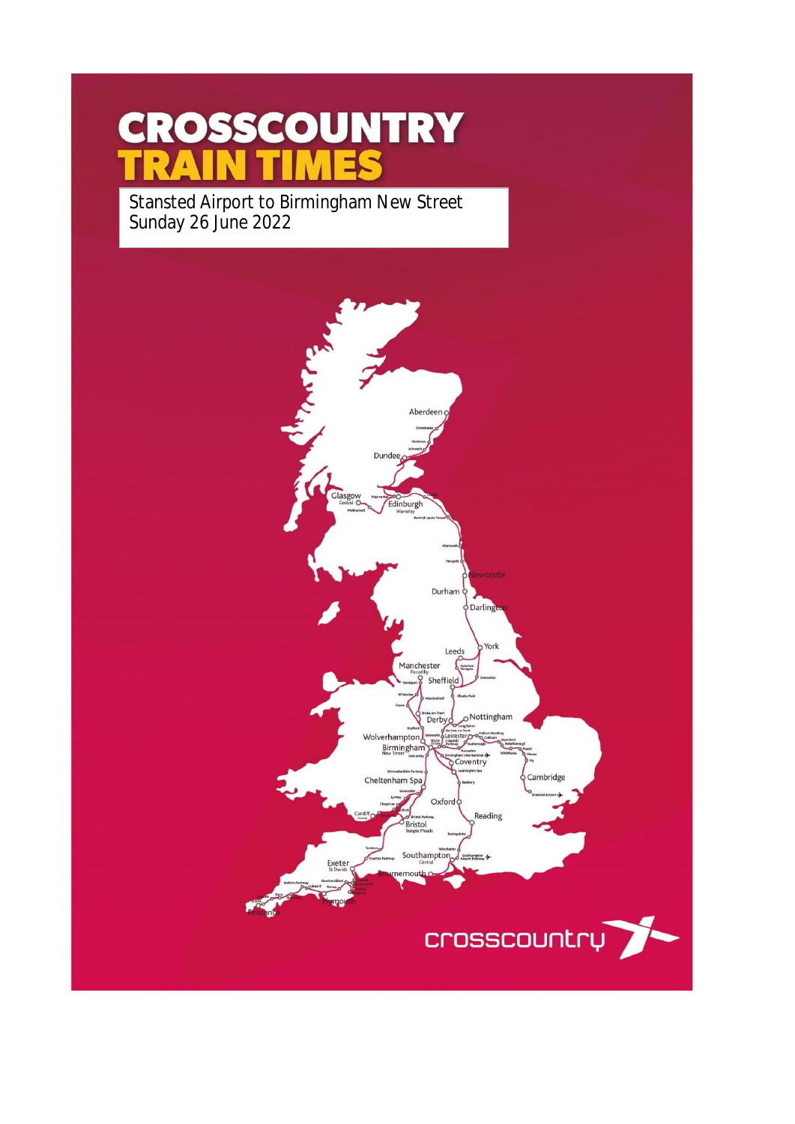# **CROSSCOUNTRY** MES

Stansted Airport to Birmingham New Street Sunday 26 June 2022

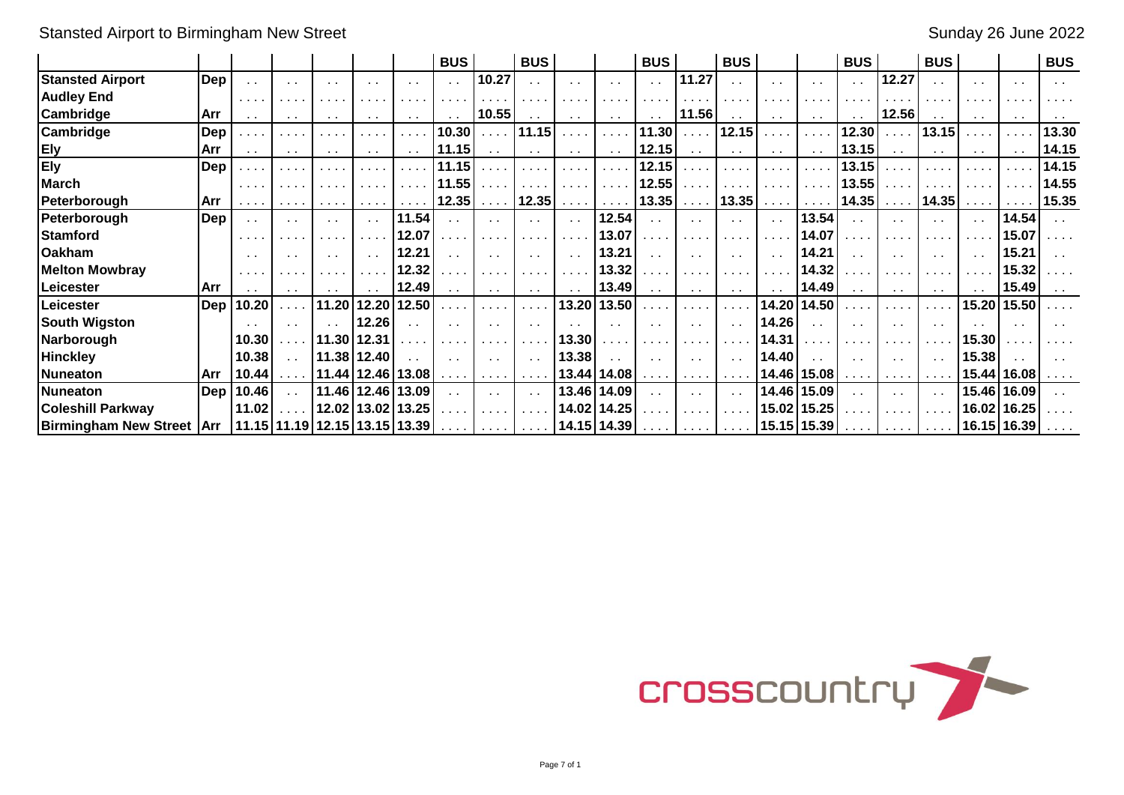Stansted Airport to Birmingham New Street Sunday 26 June 2022

|                                    |                |                                                     |                                                          |                                                                                       |                                                           |                 | <b>BUS</b>                  |                                                           | <b>BUS</b>                           |                                                      |                             | <b>BUS</b>                   |                                                             | <b>BUS</b>                                                                                                      |               |                             | <b>BUS</b>               |                                    | <b>BUS</b>                     |                 |                                                           | <b>BUS</b>      |
|------------------------------------|----------------|-----------------------------------------------------|----------------------------------------------------------|---------------------------------------------------------------------------------------|-----------------------------------------------------------|-----------------|-----------------------------|-----------------------------------------------------------|--------------------------------------|------------------------------------------------------|-----------------------------|------------------------------|-------------------------------------------------------------|-----------------------------------------------------------------------------------------------------------------|---------------|-----------------------------|--------------------------|------------------------------------|--------------------------------|-----------------|-----------------------------------------------------------|-----------------|
| <b>Stansted Airport</b>            | Dep            |                                                     | $\sim$ 10 $\pm$                                          |                                                                                       | $\cdot$ .                                                 | $\sim$          |                             | 10.27                                                     |                                      | $\sim$ $\sim$                                        | $\sim$ $\sim$               | $\sim 10$                    | 11.27                                                       | $\sim$ $\sim$                                                                                                   | . .           |                             |                          | 12.27                              |                                |                 | $\sim$ $\sim$                                             |                 |
| <b>Audley End</b>                  |                | $\mathbf{r}$ , and $\mathbf{r}$                     | .                                                        |                                                                                       |                                                           |                 |                             |                                                           | $\cdots$                             | $\mathbf{r}=\mathbf{r}+\mathbf{r}$                   | .                           | .                            |                                                             | .                                                                                                               |               |                             |                          |                                    |                                |                 | $\mathbf{a}$ , $\mathbf{a}$ , $\mathbf{a}$ , $\mathbf{a}$ |                 |
| <b>Cambridge</b>                   | Arr            | $\sim$ $\sim$                                       | $\sim 100$                                               | $\sim$ 10 $\pm$                                                                       | $\sim$ $\sim$                                             | $\sim$ 10 $\pm$ |                             | 10.55                                                     | $\sim 100$                           | $\sim 100$                                           | $\sim$ $\sim$               | $\sim$                       | 11.56                                                       | $\sim$ 10 $\pm$                                                                                                 | $\sim 100$    | $\sim$ $\sim$               | $\sim$ $\sim$            | 12.56                              |                                | $\sim$ 10 $\pm$ | $\sim 100$                                                | $\sim$ 10 $\pm$ |
| <b>Cambridge</b>                   | Dep            | .                                                   | .                                                        |                                                                                       |                                                           |                 | 10.30                       | $\mathbf{r}$ , $\mathbf{r}$ , $\mathbf{r}$ , $\mathbf{r}$ | 11.15                                | $\cdots$                                             | $\cdots$                    | 11.30                        | $\cdots$                                                    | 12.15                                                                                                           | $\cdots$      |                             | 12.30                    |                                    | 13.15                          |                 | $\sim 1000$                                               | 13.30           |
| <b>Ely</b>                         | <b>Arr</b>     | $\sim$ $\sim$                                       | $\sim$ $\sim$                                            | $\sim$ 10 $\pm$                                                                       | $\sim$ $\sim$                                             | $\sim$ 10 $\pm$ | 11.15                       | $\sim$ $\sim$                                             | $\sim$ $\sim$                        | $\sim$ $\sim$                                        | $\sim$ 10 $\pm$             | 12.15                        | $\sim$ $\sim$                                               | $\sim$ $\sim$                                                                                                   | $\sim 100$    | $\sim$ $\sim$               | 13.15                    | $\sim$ $\sim$                      | $\sim$ $\sim$                  | $\sim$ 10 $\pm$ | $\sim$ $\sim$                                             | 14.15           |
| <b>Ely</b>                         | Dep            |                                                     |                                                          |                                                                                       |                                                           |                 | 11.15                       |                                                           |                                      | $\mathbf{r}=\mathbf{r}+\mathbf{r}$ .                 | .                           | 12.15                        |                                                             |                                                                                                                 |               |                             | 13.15                    |                                    |                                |                 |                                                           | 14.15           |
| <b>March</b>                       |                | .                                                   | .                                                        |                                                                                       |                                                           |                 | 11.55                       |                                                           | $\mathbf{r}$ , $\mathbf{r}$          | $\sim$ $\sim$ $\sim$ $\sim$                          | i i i                       | 12.55                        |                                                             |                                                                                                                 |               |                             | 13.55                    |                                    |                                |                 |                                                           | 14.55           |
| Peterborough                       | l Arr          | $\sim$ $\sim$ $\sim$ $\sim$                         | $\mathbf{a}=\mathbf{a}+\mathbf{a}+\mathbf{a}+\mathbf{a}$ | .                                                                                     | $\mathbf{r}$ , $\mathbf{r}$ , $\mathbf{r}$ , $\mathbf{r}$ |                 | 12.35                       | $\sim$ 100 $\sim$ 100 $\sim$                              | 12.35                                | $\alpha$ , $\alpha$ , $\alpha$ , $\alpha$ , $\alpha$ | $\sim$ $\sim$ $\sim$ $\sim$ | $13.35$                      |                                                             | $13.35$ $\ldots$                                                                                                |               | $\sim$ $\sim$ $\sim$ $\sim$ | 14.35                    | $\sim$ $\sim$ $\sim$ $\sim$        | 14.35                          |                 |                                                           | 15.35           |
| Peterborough                       | Dep            | $\sim$ $\sim$                                       | $\sim$ $\sim$                                            | $\sim$ 10 $\pm$                                                                       | $\sim$ $\sim$                                             | 11.54           | $\sim$ $\sim$               | $\sim$ $\sim$                                             | $\sim$ $\sim$                        | $\sim$ $\sim$                                        | 12.54                       | $\sim 100$                   | $\sim$ 10 $\pm$                                             | $\sim$ $\sim$                                                                                                   | $\sim 10$     | 13.54                       |                          | $\sim$ $\sim$                      | $\sim$ $\sim$                  | $\sim$ 10 $\pm$ | 14.54                                                     |                 |
| <b>Stamford</b>                    |                | .                                                   | i a an                                                   |                                                                                       |                                                           | 12.07           |                             | $\sim$ $\sim$ $\sim$                                      | $\sim$ 10 $\sim$ 10 $\sim$           | $\alpha$ , $\alpha$ , $\alpha$                       | 13.07                       | $\sim$ $\sim$ $\sim$         | .                                                           | .                                                                                                               |               | 14.07                       |                          | $\sim$ 10 $\sim$ 10 $\sim$         | $\sim$ 100 $\sim$              | .               | 15.07                                                     |                 |
| <b>Oakham</b>                      |                | $\sim$ $\sim$                                       | $\sim$ 10 $\pm$                                          | $\sim$ $\sim$                                                                         | $\sim$                                                    | 12.21           |                             |                                                           | $\sim$                               | $\sim$ $\sim$                                        | 13.21                       | $\sim$ $\sim$                |                                                             | $\sim$ $\sim$                                                                                                   | $\sim$        | 14.21                       |                          | $\sim$                             | $\sim$ $\sim$                  |                 | 15.21                                                     |                 |
| <b>Melton Mowbray</b>              |                | $\mathbf{a} = \mathbf{a} + \mathbf{a} + \mathbf{b}$ |                                                          |                                                                                       |                                                           | 12.32           |                             | $\cdots$                                                  | $\sim$ 10 $\sim$ 10 $\sim$           | $\sim$ $\sim$ $\sim$ $\sim$                          | 13.32                       | $\sim$ $\sim$ $\sim$         | .                                                           | $\begin{array}{cccccccccccccc} \bullet & \bullet & \bullet & \bullet & \bullet & \bullet & \bullet \end{array}$ |               | 14.32                       |                          |                                    |                                |                 | 15.32                                                     |                 |
| Leicester                          | <b>Arr</b>     |                                                     | $\sim$ $\sim$                                            |                                                                                       |                                                           | 12.49           | $\sim 10$                   | $\sim$ $\sim$                                             | $\sim$ $\sim$                        | $\sim$ 10 $\pm$                                      | 13.49                       | $\sim 100$                   | $\sim$ 10 $\pm$                                             | $\sim$ 10 $\pm$                                                                                                 | $\sim$ $\sim$ | 14.49                       |                          | $\sim$ $\sim$                      | $\sim$ $\sim$                  | $\sim$          | 15.49                                                     |                 |
| Leicester                          | $\mathsf{Dep}$ | 10.20                                               | $\cdots$                                                 | 11.20                                                                                 |                                                           | 12.20 12.50     |                             | $\sim$ $\sim$ $\sim$ $\sim$                               | $\sim 100$ km s $^{-1}$              |                                                      | 13.20 13.50                 | $\sim$ $\sim$ $\sim$         | .                                                           | .                                                                                                               | 14.20         | 14.50                       |                          | $\cdots$                           | $\sim 100$ km s $^{-1}$        |                 | 15.20   15.50                                             |                 |
| <b>South Wigston</b>               |                |                                                     | $\sim$ 100                                               |                                                                                       | 12.26                                                     |                 |                             |                                                           | $\ddot{\phantom{0}}$                 |                                                      | $\sim$ $\sim$               | $\sim$                       |                                                             | $\sim$ $\sim$                                                                                                   | 14.26         |                             |                          | $\sim$                             | $\sim$ $\sim$                  |                 | $\sim$                                                    |                 |
| Narborough                         |                | 10.30                                               |                                                          | 11.30                                                                                 | 12.31                                                     |                 | $\sim$ $\sim$ $\sim$ $\sim$ | $\cdots$                                                  | $\mathbf{r}=\mathbf{r}+\mathbf{r}$   | 13.30                                                | .                           | $\sim$ $\sim$ $\sim$ $\sim$  | $\cdots$                                                    |                                                                                                                 | 14.31         |                             |                          | $\mathbf{r}=\mathbf{r}+\mathbf{r}$ | $\sim 100$ km s $^{-1}$        | 15.30           |                                                           |                 |
| <b>Hinckley</b>                    |                | 10.38                                               | $\sim 10^7$                                              | 11.38                                                                                 | 12.40                                                     |                 |                             | $\sim$ $\sim$                                             | $\sim$ 10 $\pm$                      | 13.38                                                | $\sim$ $\sim$               | $\sim 100$                   | $\sim$ $\sim$                                               | $\sim$ $\sim$                                                                                                   | 14.40         |                             |                          | $\sim$ $\sim$                      | $\sim$ $\sim$                  | 15.38           |                                                           |                 |
| Nuneaton                           | l Arr          | 10.44                                               |                                                          | 11.44   12.46   13.08                                                                 |                                                           |                 | <b>Contract Contract</b>    | $\sim$ 100 $\sim$ 100 $\sim$                              | $\sim 100$ km s $^{-1}$              |                                                      | 13.44   14.08               | $\sim$ 100 $\sim$ 100 $\sim$ | $\mathbf{a}$ , $\mathbf{a}$ , $\mathbf{a}$ , $\mathbf{a}$ , | $\sim$ $\sim$ $\sim$ $\sim$                                                                                     |               | 14.46 15.08                 |                          | $\sim$ 100 $\sim$ 100 $\sim$       | $\sim 100$ km s $^{-1}$        |                 | 15.44   16.08                                             |                 |
| Nuneaton                           | Dep            | 10.46                                               | $\sim 10$                                                | 11.46                                                                                 |                                                           | 12.46 13.09     |                             |                                                           | $\sim$ $\sim$                        |                                                      | 13.46 14.09                 | $\sim$ $\sim$                | $\sim$                                                      | $\sim$ $\sim$                                                                                                   |               | 14.46 15.09                 |                          | $\sim$ $\sim$                      | $\sim$ $\sim$                  |                 | 15.46 16.09                                               |                 |
| <b>Coleshill Parkway</b>           |                | 11.02                                               |                                                          |                                                                                       | 12.02 13.02 13.25                                         |                 |                             |                                                           | $\mathbf{r}=\mathbf{r}+\mathbf{r}$ . |                                                      | 14.02   14.25               |                              | .                                                           | $\sim$ $\sim$ $\sim$ $\sim$                                                                                     |               | 15.02 15.25                 |                          | $\sim$ 10 $\sim$ 10 $\sim$         | $\alpha$ , $\alpha$ , $\alpha$ |                 | 16.02 16.25                                               |                 |
| <b>Birmingham New Street   Arr</b> |                |                                                     |                                                          | $\vert$ 11.15 $\vert$ 11.19 $\vert$ 12.15 $\vert$ 13.15 $\vert$ 13.39 $\vert$ $\vert$ |                                                           |                 |                             | <b>Contract Contract</b>                                  |                                      | $\ldots$   14.15   14.39   $\ldots$ .                |                             |                              | <b>CONTRACTOR</b>                                           |                                                                                                                 |               | $\ldots$   15.15   15.39    | <b>Contract Contract</b> | $\sim$ 100 $\sim$ 100 $\sim$       | $\sim$ $\sim$ $\sim$ $\sim$    |                 | 16.15 16.39                                               |                 |

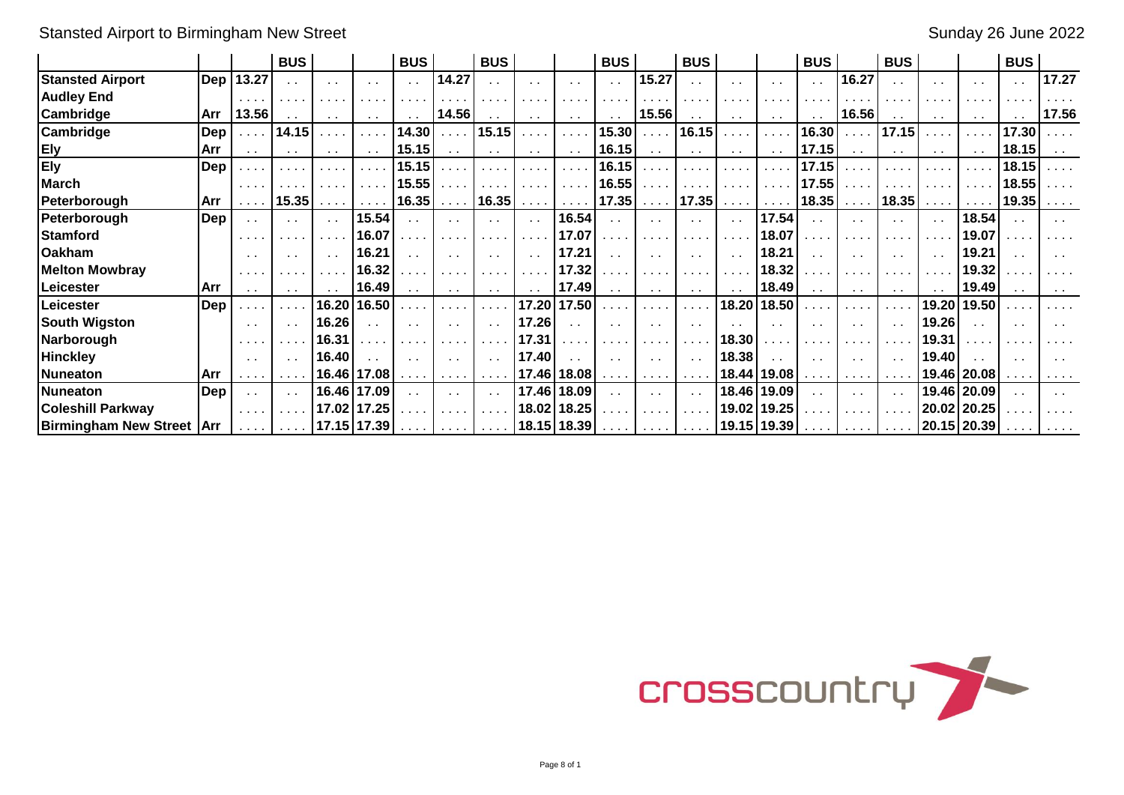Stansted Airport to Birmingham New Street Sunday 26 June 2022

|                                    |            |                                              | <b>BUS</b>                                               |                 |                                                     | <b>BUS</b>                                                  |                              | <b>BUS</b>                  |                                                             |                                       | <b>BUS</b>                                                  |                                                                                                                 | <b>BUS</b>                                |                                                                                         |                             | <b>BUS</b>                   |                                                                  | <b>BUS</b>           |                              |               | <b>BUS</b>    |        |
|------------------------------------|------------|----------------------------------------------|----------------------------------------------------------|-----------------|-----------------------------------------------------|-------------------------------------------------------------|------------------------------|-----------------------------|-------------------------------------------------------------|---------------------------------------|-------------------------------------------------------------|-----------------------------------------------------------------------------------------------------------------|-------------------------------------------|-----------------------------------------------------------------------------------------|-----------------------------|------------------------------|------------------------------------------------------------------|----------------------|------------------------------|---------------|---------------|--------|
| <b>Stansted Airport</b>            |            | Dep   13.27                                  | $\sim 10$                                                |                 | $\sim$ 10 $\pm$                                     | $\sim 10^{-1}$                                              | 14.27                        |                             | $\cdot$ .                                                   | $\sim$ $\sim$                         | $\mathbf{r}$                                                | 15.27                                                                                                           |                                           | $\sim$                                                                                  | $\mathbf{r}$                |                              | 16.27                                                            |                      | $\sim$                       | $\sim$        | $\sim 10$     | 17.27  |
| <b>Audley End</b>                  |            | .                                            | $\mathbf{a}=\mathbf{a}+\mathbf{a}+\mathbf{a}+\mathbf{a}$ |                 |                                                     |                                                             |                              |                             |                                                             |                                       |                                                             |                                                                                                                 |                                           |                                                                                         |                             |                              |                                                                  |                      |                              |               | $\cdots$      |        |
| <b>Cambridge</b>                   | l Arr      | 13.56                                        | $\sim$ $\sim$                                            | $\sim$ 10 $\pm$ | $\sim$ $\sim$                                       | $\sim$                                                      | 14.56                        | $\sim$ $\sim$               | $\sim$ $\sim$                                               | $\sim$ $\sim$                         | $\sim$ $\sim$                                               | 15.56                                                                                                           | $\sim$ $\sim$                             | $\sim$ $\sim$                                                                           | $\sim$ $\sim$               |                              | 16.56                                                            | $\sim$ $\sim$        | $\sim$ $\sim$                | $\sim$ $\sim$ | $\sim$ $\sim$ | 17.56  |
| Cambridge                          | Dep        | $\sim 100$                                   | 14.15                                                    |                 | $\cdots$                                            | 14.30                                                       |                              | 15.15                       |                                                             | $\sim 100$ km s $^{-1}$               | 15.30                                                       | $\sim 100$                                                                                                      | 16.15                                     | $\sim 100$ $\mu$                                                                        | $\sim$ $\sim$ $\sim$ $\sim$ | 16.30                        |                                                                  | 17.15                |                              | $\cdots$      | 17.30         |        |
| <b>Ely</b>                         | Arr        | $\sim$ $\sim$                                | $\sim$ $\sim$                                            | $\sim$ 10 $\pm$ |                                                     | 15.15                                                       | $\sim$ $\sim$                | $\sim$ $\sim$               | $\sim$ $\sim$                                               | $\sim$ $\sim$                         | 16.15                                                       | $\sim 100$                                                                                                      | $\sim$ $\sim$                             | $\sim$ $\sim$                                                                           |                             | 17.15                        |                                                                  | $\sim$ $\sim$        | $\sim$ $\sim$                |               | 18.15         |        |
| <b>Ely</b>                         | Dep        | .                                            |                                                          |                 |                                                     | 15.15                                                       |                              |                             | .                                                           | $\sim 100$ km s $^{-1}$               | 16.15                                                       |                                                                                                                 | .                                         | .                                                                                       |                             | 17.15                        |                                                                  |                      |                              | .             | 18.15         |        |
| <b>March</b>                       |            | $\cdots$                                     |                                                          | .               | $\mathbf{a} = \mathbf{a} + \mathbf{a} + \mathbf{b}$ | 15.55                                                       |                              | .                           | $\sim$ 10 $\sim$ 10 $\sim$                                  | $\mathbf{r} \rightarrow \mathbf{r}$ . | 16.55                                                       |                                                                                                                 |                                           | $\sim$ 100 $\sim$ 100 $\sim$                                                            | $\sim$ $\sim$ $\sim$ $\sim$ | 17.55                        |                                                                  | $\sim$ $\sim$ $\sim$ | $\sim$ 100 $\sim$            | .             | 18.55         |        |
| Peterborough                       | Arr        | .                                            | 15.35                                                    | .               |                                                     | 16.35                                                       | $\sim$ 100 $\sim$ 100 $\sim$ | 16.35                       | $\mathbf{u}$ , $\mathbf{u}$ , $\mathbf{u}$ , $\mathbf{u}$ , |                                       | $\ldots$   17.35                                            | $\sim 100$ km s $^{-1}$                                                                                         | 17.35                                     | $\mathcal{L}^{\mathcal{A}}$ , $\mathcal{L}^{\mathcal{A}}$ , $\mathcal{L}^{\mathcal{A}}$ |                             | 18.35                        | $\sim$ $\sim$ $\sim$ $\sim$                                      | 18.35                | $\sim$ 100 $\sim$ 100 $\sim$ |               | 19.35         |        |
| Peterborough                       | Dep        | $\sim$ $\sim$                                | $\sim 10$                                                | $\sim$ $\sim$   | 15.54                                               | . .                                                         |                              |                             | $\sim$ $\sim$                                               | 16.54                                 |                                                             | $\sim$ $\sim$                                                                                                   | $\sim$                                    | $\sim$ $\sim$                                                                           | 17.54                       | $\sim$ 100                   |                                                                  |                      | $\sim$ $\sim$                | 18.54         |               | $\sim$ |
| <b>Stamford</b>                    |            | .                                            | .                                                        |                 | 16.07                                               |                                                             |                              | .                           | $\sim$ $\sim$ $\sim$                                        | 17.07                                 | $\sim$                                                      | $\sim$ $\sim$ $\sim$                                                                                            | .                                         |                                                                                         | 18.07                       |                              | .                                                                | $\cdots$             | $\sim 100$                   | 19.07         |               |        |
| <b>Oakham</b>                      |            | $\sim$ $\sim$                                | $\sim 100$                                               | $\sim$ $\sim$   | 16.21                                               | $\sim$                                                      |                              |                             | $\sim$                                                      | 17.21                                 | $\mathbf{r}$                                                | $\sim 100$                                                                                                      | $\sim$ $\sim$                             | $\sim$ $\sim$                                                                           | 18.21                       |                              |                                                                  | $\sim$               | $\sim$ $\sim$                | 19.21         | $\sim$ $\sim$ |        |
| <b>Melton Mowbray</b>              |            | $\sim$ 100 $\sim$ 100 $\sim$                 | .                                                        |                 | 16.32                                               |                                                             |                              |                             | .                                                           | 17.32                                 | .                                                           | $\begin{array}{cccccccccccccc} \bullet & \bullet & \bullet & \bullet & \bullet & \bullet & \bullet \end{array}$ | .                                         |                                                                                         | 18.32                       |                              |                                                                  |                      | $\sim 100$                   | 19.32         |               |        |
| Leicester                          | <b>Arr</b> | $\sim$ $\sim$                                | $\sim$ $\sim$                                            |                 | 16.49                                               | $\sim$ 10 $\pm$                                             | $\sim$ $\sim$                | $\sim$ $\sim$               | $\sim$ $\sim$                                               | 17.49                                 | $\sim$ $\sim$                                               | $\sim 100$                                                                                                      | $\sim$ $\sim$                             | $\sim$ $\sim$                                                                           | 18.49                       | $\sim$ $\sim$                | $\sim$ $\sim$                                                    | $\sim$ $\sim$        |                              | 19.49         | $\sim 10$     |        |
| Leicester                          | Dep        | $\sim$ $\sim$                                | $\sim$ $\sim$ $\sim$ $\sim$                              | 16.20           | 16.50                                               |                                                             |                              | $\sim$ $\sim$ $\sim$ $\sim$ | 17.20                                                       | 17.50                                 | i a la                                                      | $\sim$ $\sim$ $\sim$ $\sim$                                                                                     | .                                         | 18.20                                                                                   | 18.50                       |                              | .                                                                | $\sim 100$           | 19.20                        | 19.50         |               |        |
| <b>South Wigston</b>               |            | $\sim$ $\sim$                                | $\sim$ 10 $\pm$                                          | 16.26           | $\sim$ $\sim$                                       | $\sim$                                                      |                              |                             | 17.26                                                       | $\sim$ $\sim$                         | $\sim$ $\sim$                                               | $\sim$ $\sim$                                                                                                   |                                           |                                                                                         | $\sim 10$                   |                              | $\sim$ $\sim$                                                    | $\sim$ $\sim$        | 19.26                        |               | $\sim$ $\sim$ |        |
| Narborough                         |            | $\mathbf{r}$ , $\mathbf{r}$ , $\mathbf{r}$ , |                                                          | 16.31           | $\sim$ $\sim$ $\sim$                                |                                                             |                              |                             | 17.31                                                       | .                                     | .                                                           | $\sim$ 100 $\sim$ 100 $\sim$                                                                                    |                                           | 18.30                                                                                   |                             |                              |                                                                  |                      | 19.31                        |               | $\cdots$      |        |
| <b>Hinckley</b>                    |            | $\sim$ $\sim$                                | $\sim 100$                                               | 16.40           | $\sim$                                              | $\sim$                                                      | $\sim$ 100 $\pm$             | $\sim$ $\sim$               | 17.40                                                       | $\sim$ $\sim$                         | $\sim$ $\sim$                                               | $\sim$ $\sim$                                                                                                   | $\sim$ $\sim$                             | 18.38                                                                                   | $\sim$                      |                              | $\sim$ $\sim$                                                    | $\sim$ $\sim$        | 19.40                        |               | $\sim$ $\sim$ |        |
| Nuneaton                           | <b>Arr</b> |                                              |                                                          |                 | 16.46 17.08                                         |                                                             | $\sim$ 100 $\sim$ 100 $\sim$ | $\sim 100$ km $^{-1}$       |                                                             | 17.46 18.08                           | $\mathbf{r}$ , $\mathbf{r}$ , $\mathbf{r}$ , $\mathbf{r}$ , | $\mathbf{a}$ , $\mathbf{a}$ , $\mathbf{a}$ , $\mathbf{a}$ ,                                                     | $\alpha$ , $\alpha$ , $\alpha$ , $\alpha$ |                                                                                         | 18.44   19.08               | <b>Contract Contract</b>     | $\mathbf{A} = \mathbf{A} + \mathbf{A} + \mathbf{A} + \mathbf{A}$ | $\sim$ $\sim$ $\sim$ |                              | 19.46 20.08   |               |        |
| <b>INuneaton</b>                   | Dep        | $\sim$ $\sim$                                | $\sim$ 10 $\pm$                                          | 16.46           | 17.09                                               |                                                             |                              |                             | 17.46                                                       | 18.09                                 | $\sim$ $\sim$                                               | $\sim 100$                                                                                                      | $\sim$ $\sim$                             |                                                                                         | 18.46 19.09                 | $\sim$ 10 $\pm$              |                                                                  |                      |                              | 19.46 20.09   | $\sim$ $\sim$ |        |
| <b>Coleshill Parkway</b>           |            | .                                            |                                                          | 17.02           | 17.25                                               |                                                             |                              | $\sim$ $\sim$ $\sim$        | 18.02                                                       | 18.25                                 |                                                             | $\begin{array}{cccccccccccccc} \bullet & \bullet & \bullet & \bullet & \bullet & \bullet & \bullet \end{array}$ |                                           |                                                                                         | 19.02 19.25                 |                              |                                                                  | $\sim$ $\sim$ $\sim$ |                              | 20.02 20.25   |               |        |
| <b>Birmingham New Street   Arr</b> |            |                                              | $\mathbf{r}$ , and $\mathbf{r}$ , and $\mathbf{r}$       | 17.15 17.39     |                                                     | $\mathbf{a}$ , $\mathbf{a}$ , $\mathbf{a}$ , $\mathbf{a}$ , | <b>Contract Contract</b>     | <b>Service</b>              |                                                             | 18.15 18.39                           |                                                             | <b>Allen Adams</b>                                                                                              | .                                         |                                                                                         | $19.15$   19.39             | $\sim$ 100 $\sim$ 100 $\sim$ | $\mathbf{r}$ , and $\mathbf{r}$ , and $\mathbf{r}$               | $\sim$ 100 $\sim$    |                              | 20.15   20.39 |               |        |

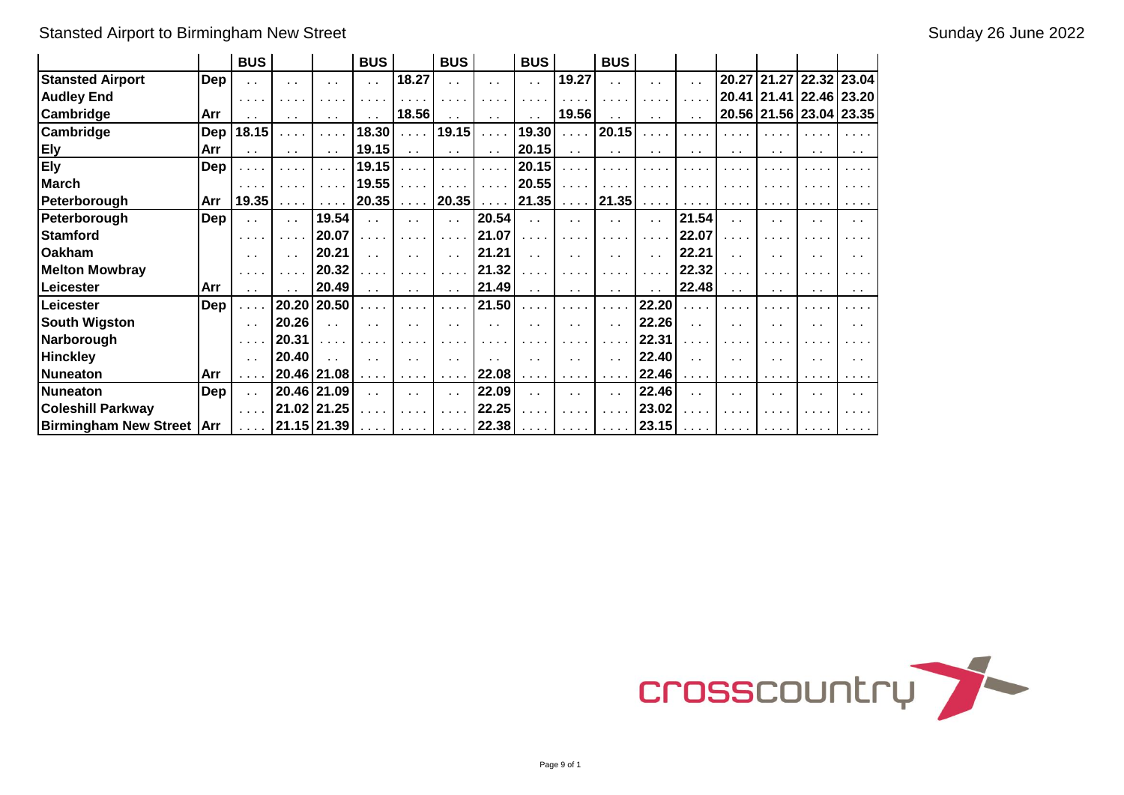# Stansted Airport to Birmingham New Street Sunday 26 June 2022

|                             |            | <b>BUS</b>                                                                                                      |                                                           |                                      | <b>BUS</b>                                                |                                           | <b>BUS</b>                      |                                | <b>BUS</b>                  |                                                                                                                                                                                                                                                                                                                                                                                                                              | <b>BUS</b>                                                  |                             |                                                           |                             |                                                                                                                 |                               |                 |
|-----------------------------|------------|-----------------------------------------------------------------------------------------------------------------|-----------------------------------------------------------|--------------------------------------|-----------------------------------------------------------|-------------------------------------------|---------------------------------|--------------------------------|-----------------------------|------------------------------------------------------------------------------------------------------------------------------------------------------------------------------------------------------------------------------------------------------------------------------------------------------------------------------------------------------------------------------------------------------------------------------|-------------------------------------------------------------|-----------------------------|-----------------------------------------------------------|-----------------------------|-----------------------------------------------------------------------------------------------------------------|-------------------------------|-----------------|
| <b>Stansted Airport</b>     | Dep        | $\ddot{\phantom{a}}$                                                                                            | $\sim$ $\sim$                                             | $\sim$ $\sim$                        | $\sim$ $\sim$                                             | 18.27                                     | $\sim$ $\sim$                   | $\sim$ $\sim$                  | $\ddot{\phantom{a}}$        | 19.27                                                                                                                                                                                                                                                                                                                                                                                                                        | $\sim$ $\sim$                                               | $\sim$ 10 $\pm$             | $\sim$ $\sim$                                             |                             |                                                                                                                 | 20.27 21.27 22.32 23.04       |                 |
| <b>Audley End</b>           |            | $\begin{array}{cccccccccccccc} \bullet & \bullet & \bullet & \bullet & \bullet & \bullet & \bullet \end{array}$ | .                                                         | $\mathbf{r}=\mathbf{r}+\mathbf{r}$ . | .                                                         |                                           | .                               | .                              |                             | $\cdots$                                                                                                                                                                                                                                                                                                                                                                                                                     | $\cdots$                                                    | $\sim$ $\sim$ $\sim$ $\sim$ | .                                                         |                             |                                                                                                                 | 20.41   21.41   22.46   23.20 |                 |
| Cambridge                   | Arr        | $\sim$                                                                                                          | $\sim$ 10 $\pm$                                           | $\sim$ $\sim$                        | $\sim$ $\sim$                                             | 18.56                                     | $\sim$ $\sim$                   | $\sim$ $\sim$                  | $\sim$ $\sim$               | 19.56                                                                                                                                                                                                                                                                                                                                                                                                                        | $\sim$ $\sim$                                               | $\sim$ 10 $\pm$             | $\sim$ $\sim$                                             |                             |                                                                                                                 | 20.56 21.56 23.04 23.35       |                 |
| Cambridge                   | Dep        | 18.15                                                                                                           | .                                                         | $\sim 100$                           | 18.30                                                     | $\sim 100$ km s $^{-1}$                   | 19.15                           | $\alpha$ , $\alpha$ , $\alpha$ | 19.30                       | $\alpha$ , $\alpha$ , $\alpha$                                                                                                                                                                                                                                                                                                                                                                                               | 20.15                                                       | $\sim 100$ km s $^{-1}$     | .                                                         |                             | $\begin{array}{cccccccccccccc} \bullet & \bullet & \bullet & \bullet & \bullet & \bullet & \bullet \end{array}$ |                               |                 |
| Ely                         | Arr        | $\sim$ $\sim$                                                                                                   | $\sim$ $\sim$                                             | $\sim$ $\sim$                        | 19.15                                                     | $\sim$ $\sim$                             | $\sim 100$                      | $\sim$ $\sim$                  | 20.15                       | $\sim$ $\sim$                                                                                                                                                                                                                                                                                                                                                                                                                | $\sim$ $\sim$                                               | $\sim$ $\sim$               | $\sim$ $\sim$                                             | $\sim$ $\sim$               | $\sim$ $\sim$                                                                                                   | $\sim$ $\sim$                 | $\sim$ $\sim$   |
| <b>Ely</b>                  | Dep        |                                                                                                                 | $\sim$ $\sim$ $\sim$ $\sim$                               | $\mathbf{r} \cdot \mathbf{r}$ .      | 19.15                                                     | 1.1.1                                     | $\sim$ 10 $\sim$ 10 $\sim$      | $\sim$ $\sim$ $\sim$ $\sim$    | 20.15                       | $\cdots$                                                                                                                                                                                                                                                                                                                                                                                                                     | $\cdots$                                                    |                             | .                                                         |                             |                                                                                                                 |                               |                 |
| <b>March</b>                |            | $\begin{array}{cccccccccccccc} \bullet & \bullet & \bullet & \bullet & \bullet & \bullet & \bullet \end{array}$ | .                                                         | $\mathbf{r}=\mathbf{r}+\mathbf{r}$   | 19.55                                                     | .                                         | $\mathbf{r}$ , and $\mathbf{r}$ | $\sim 100$ km s $^{-1}$        | 20.55                       | $\alpha$ , $\alpha$ , $\alpha$                                                                                                                                                                                                                                                                                                                                                                                               |                                                             | .                           |                                                           |                             | .                                                                                                               |                               |                 |
| Peterborough                | Arr        | 19.35                                                                                                           | $\mathbf{r}$ , $\mathbf{r}$ , $\mathbf{r}$ , $\mathbf{r}$ | $\sim$ $\sim$ $\sim$ $\sim$          | 20.35                                                     | $\alpha$ , $\alpha$ , $\alpha$ , $\alpha$ | 20.35                           | $\alpha$ , $\alpha$ , $\alpha$ | $21.35$                     |                                                                                                                                                                                                                                                                                                                                                                                                                              | 21.35                                                       | $\sim$ $\sim$ $\sim$ $\sim$ | $\mathbf{r}$ , $\mathbf{r}$ , $\mathbf{r}$ , $\mathbf{r}$ | $\sim$ $\sim$ $\sim$ $\sim$ | $\sim$ $\sim$ $\sim$ $\sim$                                                                                     |                               | $\cdots$        |
| Peterborough                | Dep        | $\sim$ $\sim$                                                                                                   | $\sim 10^{-1}$                                            | 19.54                                | $\sim$ $\sim$                                             | $\sim 100$                                | $\sim$ $\sim$                   | 20.54                          | $\sim$ $\sim$               | $\sim 100$                                                                                                                                                                                                                                                                                                                                                                                                                   | $\sim$ $\sim$                                               | $\sim 10$                   | 21.54                                                     | $\sim$ $\sim$               | $\sim$ 10 $\pm$                                                                                                 | $\sim$ $\sim$                 | $\sim$ 10 $\pm$ |
| <b>Stamford</b>             |            | $\cdots$                                                                                                        | .                                                         | 20.07                                | .                                                         | $\sim$ $\sim$ $\sim$ $\sim$               | $\sim$ $\sim$ $\sim$ $\sim$     | 21.07                          | .                           | $\cdots$                                                                                                                                                                                                                                                                                                                                                                                                                     | .                                                           | .                           | 22.07                                                     | .                           | $\cdots$                                                                                                        |                               |                 |
| <b>Oakham</b>               |            | $\sim$ $\sim$                                                                                                   | $\sim$                                                    | 20.21                                | $\sim$ $\sim$                                             | $\sim$                                    | $\sim$ $\sim$                   | 21.21                          | $\sim$ $\sim$               | $\sim$                                                                                                                                                                                                                                                                                                                                                                                                                       | $\ddot{\phantom{0}}$                                        | $\sim 100$                  | 22.21                                                     | $\ddot{\phantom{a}}$        | $\sim$                                                                                                          | $\sim$                        |                 |
| <b>Melton Mowbray</b>       |            | .                                                                                                               |                                                           | 20.32                                | .                                                         | .                                         | $\sim$ $\sim$                   | 21.32                          |                             | $\cdots$                                                                                                                                                                                                                                                                                                                                                                                                                     | .                                                           |                             | 22.32                                                     |                             | .                                                                                                               |                               |                 |
| Leicester                   | Arr        | $\sim$ $\sim$                                                                                                   |                                                           | 20.49                                | $\sim$ $\sim$                                             | $\sim$ $\sim$                             | $\sim$ $\sim$                   | 21.49                          | $\sim 10$                   | $\sim$ $\sim$                                                                                                                                                                                                                                                                                                                                                                                                                | $\sim$ $\sim$                                               | $\sim$ 10 $\pm$             | 22.48                                                     | $\sim 10$                   | $\sim$ 10 $\pm$                                                                                                 | $\sim$ $\sim$                 | $\sim$ $\sim$   |
| Leicester                   | Dep        |                                                                                                                 | 20.20                                                     | 20.50                                | $\cdots$                                                  | .                                         | $\sim 100$                      | 21.50                          | $\sim$ $\sim$ $\sim$        | .                                                                                                                                                                                                                                                                                                                                                                                                                            | $\sim$ $\sim$ $\sim$ $\sim$                                 | 22.20                       | .                                                         |                             | .                                                                                                               |                               |                 |
| <b>South Wigston</b>        |            | $\sim$ $\sim$                                                                                                   | 20.26                                                     | $\ddot{\phantom{a}}$                 | $\sim$ $\sim$                                             | $\sim$ $\sim$                             | $\sim$ $\sim$                   | $\sim$ $\sim$                  | $\sim$ $\sim$               | $\sim$                                                                                                                                                                                                                                                                                                                                                                                                                       | $\sim$ $\sim$                                               | 22.26                       | $\sim$ $\sim$                                             | $\sim$ $\sim$               | $\sim$ $\sim$                                                                                                   |                               |                 |
| Narborough                  |            | $\sim$ $\sim$ $\sim$                                                                                            | 20.31                                                     | .                                    | $\cdots$                                                  |                                           |                                 | .                              |                             | .                                                                                                                                                                                                                                                                                                                                                                                                                            | .                                                           | 22.31                       | $\sim$ $\sim$ $\sim$                                      | .                           | .                                                                                                               |                               |                 |
| <b>Hinckley</b>             |            | $\sim$ $\sim$                                                                                                   | 20.40                                                     | $\sim$                               | $\sim$ $\sim$                                             | $\sim$ $\sim$                             | $\sim$ $\sim$                   | $\mathbf{r}$                   | $\sim$ $\sim$               | $\sim$ $\sim$                                                                                                                                                                                                                                                                                                                                                                                                                | $\sim$ $\sim$                                               | 22.40                       | $\sim$                                                    | $\sim$ $\sim$               | $\sim$ $\sim$                                                                                                   | $\sim$ $\sim$                 |                 |
| <b>Nuneaton</b>             | Arr        |                                                                                                                 |                                                           | 20.46 21.08                          | $\alpha$ , $\alpha$ , $\alpha$ , $\alpha$                 | $\sim$ $\sim$ $\sim$ $\sim$               | $\sim$ $\sim$ $\sim$ $\sim$     | 22.08                          | $\sim$ $\sim$ $\sim$ $\sim$ | $\mathbf{a} = \mathbf{a} + \mathbf{a} + \mathbf{a} + \mathbf{a} + \mathbf{a} + \mathbf{a} + \mathbf{a} + \mathbf{a} + \mathbf{a} + \mathbf{a} + \mathbf{a} + \mathbf{a} + \mathbf{a} + \mathbf{a} + \mathbf{a} + \mathbf{a} + \mathbf{a} + \mathbf{a} + \mathbf{a} + \mathbf{a} + \mathbf{a} + \mathbf{a} + \mathbf{a} + \mathbf{a} + \mathbf{a} + \mathbf{a} + \mathbf{a} + \mathbf{a} + \mathbf{a} + \mathbf{a} + \mathbf$ | $\sim$ $\sim$ $\sim$ $\sim$                                 | 22.46                       | $\sim$ $\sim$ $\sim$ $\sim$                               | $\cdots$                    | $\sim$ 100 $\sim$ 100 $\sim$                                                                                    |                               |                 |
| <b>Nuneaton</b>             | <b>Dep</b> | $\sim$ $\sim$                                                                                                   |                                                           | 20.46 21.09                          | $\sim$ $\sim$                                             | $\sim$                                    | $\sim$ $\sim$                   | 22.09                          | $\sim$ $\sim$               | $\sim$                                                                                                                                                                                                                                                                                                                                                                                                                       | $\ddot{\phantom{0}}$                                        | 22.46                       | $\sim$                                                    | $\ddot{\phantom{0}}$        | $\sim$                                                                                                          | . .                           | . .             |
| <b>Coleshill Parkway</b>    |            | $\sim$ $\sim$ $\sim$ $\sim$                                                                                     |                                                           | 21.02 21.25                          | .                                                         | $\cdots$                                  | $\sim$ 10 $\sim$ 10 $\sim$      | 22.25                          |                             | $\cdots$                                                                                                                                                                                                                                                                                                                                                                                                                     | $\sim$ $\sim$ $\sim$ $\sim$                                 | 23.02                       | .                                                         |                             |                                                                                                                 |                               |                 |
| Birmingham New Street   Arr |            |                                                                                                                 | $\ldots$   21.15   21.39                                  |                                      | $\mathbf{r}$ , $\mathbf{r}$ , $\mathbf{r}$ , $\mathbf{r}$ | $\sim$ 100 $\sim$ 100 $\sim$              |                                 | $\ldots$   22.38               | <b>Service</b> State        | <b>Contract Contract</b>                                                                                                                                                                                                                                                                                                                                                                                                     | $\mathbf{r}$ , $\mathbf{r}$ , $\mathbf{r}$ , $\mathbf{r}$ , | 23.15                       | $\mathbf{r}$ , $\mathbf{r}$ , $\mathbf{r}$ , $\mathbf{r}$ | $\sim$ $\sim$ $\sim$ $\sim$ | $\sim$ $\sim$ $\sim$ $\sim$                                                                                     |                               |                 |

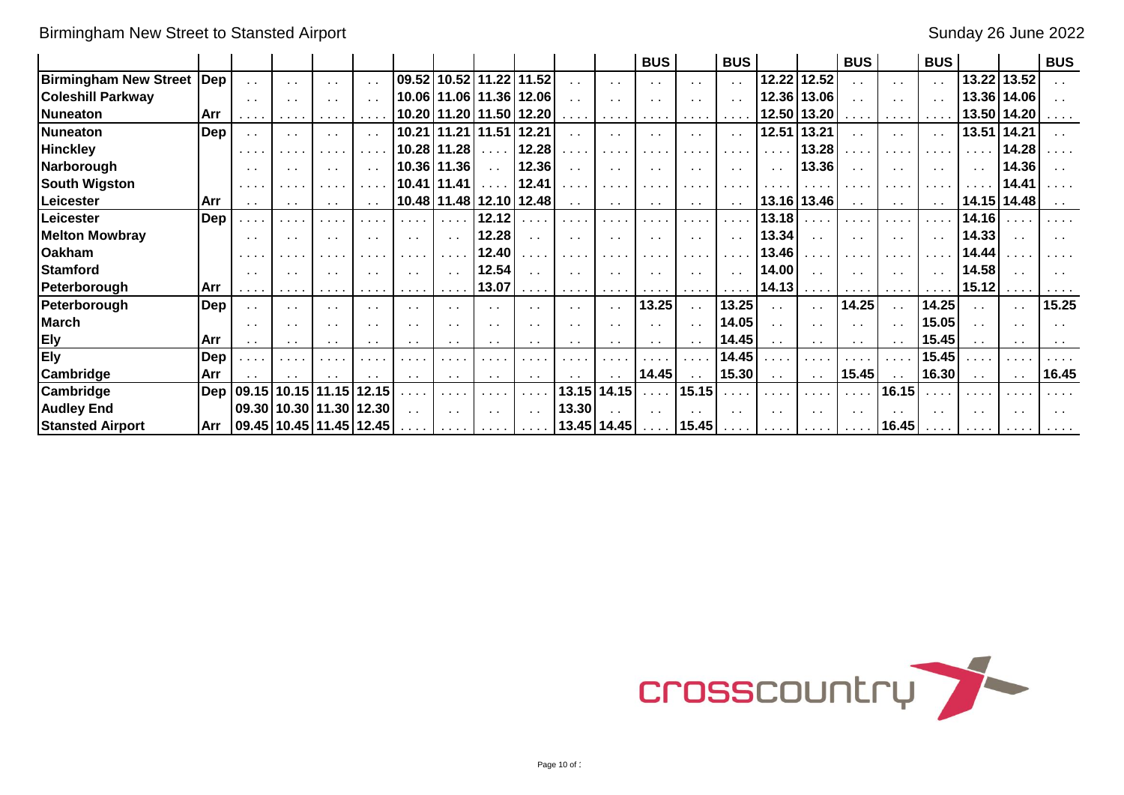|                              |             |                                                          |                 |                                 |                                                                                                                                                                                                                                                                                                                                                                                                                        |                                                                                                                 |                              |                          |                                           |                                                                                                                                                                                                                                                                                                                                                                                                                        |                             | <b>BUS</b>                                                                                                                                                                                                                                                                                                                                                                                                             |                                                                                                                                                                                                                                                                                                                                                                                                                        | <b>BUS</b>                   |                   |                              | <b>BUS</b>                                                       |                                                           | <b>BUS</b>                           |                 |                             | <b>BUS</b>                                                |
|------------------------------|-------------|----------------------------------------------------------|-----------------|---------------------------------|------------------------------------------------------------------------------------------------------------------------------------------------------------------------------------------------------------------------------------------------------------------------------------------------------------------------------------------------------------------------------------------------------------------------|-----------------------------------------------------------------------------------------------------------------|------------------------------|--------------------------|-------------------------------------------|------------------------------------------------------------------------------------------------------------------------------------------------------------------------------------------------------------------------------------------------------------------------------------------------------------------------------------------------------------------------------------------------------------------------|-----------------------------|------------------------------------------------------------------------------------------------------------------------------------------------------------------------------------------------------------------------------------------------------------------------------------------------------------------------------------------------------------------------------------------------------------------------|------------------------------------------------------------------------------------------------------------------------------------------------------------------------------------------------------------------------------------------------------------------------------------------------------------------------------------------------------------------------------------------------------------------------|------------------------------|-------------------|------------------------------|------------------------------------------------------------------|-----------------------------------------------------------|--------------------------------------|-----------------|-----------------------------|-----------------------------------------------------------|
| <b>Birmingham New Street</b> | $\sf l$ Dep | $\sim$ $\sim$                                            | $\sim$ $\sim$   | $\sim$ 10 $\pm$                 | $\sim$ $\sim$                                                                                                                                                                                                                                                                                                                                                                                                          | 09.52                                                                                                           | 10.52 11.22                  |                          | 11.52                                     | $\sim$ $\sim$                                                                                                                                                                                                                                                                                                                                                                                                          | $\sim$ $\sim$               | $\sim$ $\sim$                                                                                                                                                                                                                                                                                                                                                                                                          | $\sim$ $\sim$                                                                                                                                                                                                                                                                                                                                                                                                          | $\sim$ $\sim$                | 12.22             | 12.52                        |                                                                  | $\sim$ $\sim$                                             | $\sim$ $\sim$                        | 13.22           | 13.52                       |                                                           |
| <b>Coleshill Parkway</b>     |             | $\sim$ $\sim$                                            | $\sim$ 10 $\pm$ | $\sim$                          | $\sim$ $\sim$                                                                                                                                                                                                                                                                                                                                                                                                          |                                                                                                                 | 10.06 11.06 11.36            |                          | 12.06                                     | $\sim$                                                                                                                                                                                                                                                                                                                                                                                                                 | $\sim$                      | $\sim$                                                                                                                                                                                                                                                                                                                                                                                                                 |                                                                                                                                                                                                                                                                                                                                                                                                                        | $\sim$ $\sim$                |                   | 12.36 13.06                  |                                                                  | $\sim$                                                    |                                      |                 | 13.36 14.06                 |                                                           |
| Nuneaton                     | <b>Arr</b>  | .                                                        | .               | .                               | $\begin{array}{cccccccccccccc} \bullet & \bullet & \bullet & \bullet & \bullet & \bullet & \bullet \end{array}$                                                                                                                                                                                                                                                                                                        |                                                                                                                 |                              |                          | 10.20 11.20 11.50 12.20                   | $\mathbf{a}=\mathbf{a}+\mathbf{a}+\mathbf{a}+\mathbf{a}+\mathbf{a}+\mathbf{a}+\mathbf{a}+\mathbf{a}+\mathbf{a}+\mathbf{a}+\mathbf{a}+\mathbf{a}+\mathbf{a}+\mathbf{a}+\mathbf{a}+\mathbf{a}+\mathbf{a}+\mathbf{a}+\mathbf{a}+\mathbf{a}+\mathbf{a}+\mathbf{a}+\mathbf{a}+\mathbf{a}+\mathbf{a}+\mathbf{a}+\mathbf{a}+\mathbf{a}+\mathbf{a}+\mathbf{a}+\mathbf{a}+\mathbf{a}+\mathbf{a}+\mathbf{a}+\mathbf{a}+\mathbf{$ | $\sim$ $\sim$ $\sim$ $\sim$ | $\mathbf{a}=\mathbf{a}+\mathbf{a}+\mathbf{a}+\mathbf{a}$                                                                                                                                                                                                                                                                                                                                                               | <b>ALC A 14</b>                                                                                                                                                                                                                                                                                                                                                                                                        | $\sim$ 100 $\sim$ 100 $\sim$ |                   | 12.50 13.20                  | $\mathbf{A} = \mathbf{A} + \mathbf{A} + \mathbf{A} + \mathbf{A}$ | $\mathbf{a}$ , $\mathbf{a}$ , $\mathbf{a}$ , $\mathbf{a}$ | $\sim$ $\sim$ $\sim$                 |                 | 13.50   14.20               |                                                           |
| Nuneaton                     | Dep         | $\sim$ $\sim$                                            | $\sim$ 10 $\pm$ | $\sim$ $\sim$                   | $\sim$ $\sim$                                                                                                                                                                                                                                                                                                                                                                                                          |                                                                                                                 | 10.21   11.21   11.51        |                          | 12.21                                     | $\sim$ $\sim$                                                                                                                                                                                                                                                                                                                                                                                                          | $\sim$ $\sim$               | $\sim$ $\sim$                                                                                                                                                                                                                                                                                                                                                                                                          | $\sim$ $\sim$                                                                                                                                                                                                                                                                                                                                                                                                          | $\sim$ $\sim$                | 12.51             | 13.21                        |                                                                  | $\sim$ $\sim$                                             | $\sim$ $\sim$                        | 13.51           | 14.21                       | . .                                                       |
| <b>Hinckley</b>              |             |                                                          | .               |                                 |                                                                                                                                                                                                                                                                                                                                                                                                                        |                                                                                                                 | 10.28 11.28                  |                          | 12.28                                     | .                                                                                                                                                                                                                                                                                                                                                                                                                      | .                           | $\mathbf{a}$ , $\mathbf{a}$ , $\mathbf{a}$ , $\mathbf{a}$                                                                                                                                                                                                                                                                                                                                                              |                                                                                                                                                                                                                                                                                                                                                                                                                        |                              |                   | 13.28                        |                                                                  | $\cdots$                                                  | $\mathbf{r}=\mathbf{r}+\mathbf{r}$ . | .               | 14.28                       |                                                           |
| Narborough                   |             | $\sim$                                                   | $\sim$ $\sim$   | $\sim$ $\sim$                   | $\sim$ $\sim$                                                                                                                                                                                                                                                                                                                                                                                                          |                                                                                                                 | 10.36 11.36                  |                          | 12.36                                     | $\sim$ $\sim$                                                                                                                                                                                                                                                                                                                                                                                                          | $\sim$ $\sim$               | $\sim$ $\sim$                                                                                                                                                                                                                                                                                                                                                                                                          |                                                                                                                                                                                                                                                                                                                                                                                                                        | $\sim$ $\sim$                | $\sim 10$         | 13.36                        |                                                                  | $\sim$ $\sim$                                             | $\sim$ $\sim$                        | $\sim$ 10 $\pm$ | 14.36                       |                                                           |
| <b>South Wigston</b>         |             | $\mathbf{r}$ , and $\mathbf{r}$                          |                 |                                 |                                                                                                                                                                                                                                                                                                                                                                                                                        |                                                                                                                 | 10.41 11.41                  | $\cdots$                 | 12.41                                     | .                                                                                                                                                                                                                                                                                                                                                                                                                      | .                           | $\mathbf{a}$ , $\mathbf{a}$ , $\mathbf{a}$ , $\mathbf{a}$                                                                                                                                                                                                                                                                                                                                                              |                                                                                                                                                                                                                                                                                                                                                                                                                        |                              |                   |                              |                                                                  |                                                           | $\mathbf{r}$ , and $\mathbf{r}$      |                 | 14.41                       |                                                           |
| Leicester                    | <b>Arr</b>  | $\sim$ $\sim$                                            | $\sim$ $\sim$   |                                 |                                                                                                                                                                                                                                                                                                                                                                                                                        |                                                                                                                 |                              |                          | 10.48 11.48 12.10 12.48                   | $\sim$ $\sim$                                                                                                                                                                                                                                                                                                                                                                                                          | $\sim$ $\sim$               | $\sim 100$                                                                                                                                                                                                                                                                                                                                                                                                             | $\sim$ $\sim$                                                                                                                                                                                                                                                                                                                                                                                                          | $\sim$ $\sim$                |                   | 13.16 13.46                  | $\sim$ $\sim$                                                    | $\sim$ $\sim$                                             | $\sim$ $\sim$                        |                 | 14.15   14.48               |                                                           |
| Leicester                    | Dep         | $\sim$ $\sim$                                            | .               |                                 |                                                                                                                                                                                                                                                                                                                                                                                                                        |                                                                                                                 | $\sim$ $\sim$ $\sim$ $\sim$  | 12.12                    |                                           | $\cdots$                                                                                                                                                                                                                                                                                                                                                                                                               | .                           | i a a c                                                                                                                                                                                                                                                                                                                                                                                                                | .                                                                                                                                                                                                                                                                                                                                                                                                                      | والمنافرة                    | 13.18             |                              |                                                                  |                                                           | $\sim 100$ km s $^{-1}$              | 14.16           | .                           |                                                           |
| <b>Melton Mowbray</b>        |             | $\sim$ $\sim$                                            | $\sim$ 10 $\pm$ |                                 | $\cdot$ .                                                                                                                                                                                                                                                                                                                                                                                                              | $\sim$                                                                                                          | $\sim$ 100 $\pm$             | 12.28                    | $\sim$                                    | $\sim$ $\sim$                                                                                                                                                                                                                                                                                                                                                                                                          | $\sim$ $\sim$               | $\sim$ $\sim$                                                                                                                                                                                                                                                                                                                                                                                                          | $\sim$ $\sim$                                                                                                                                                                                                                                                                                                                                                                                                          | $\sim$ $\sim$                | 13.34             | $\sim$                       | $\sim$                                                           | $\sim$ $\sim$                                             | $\sim$ $\sim$                        | 14.33           | $\sim$                      |                                                           |
| <b>Oakham</b>                |             | .                                                        | <b>ALC 10</b>   |                                 |                                                                                                                                                                                                                                                                                                                                                                                                                        |                                                                                                                 |                              | 12.40                    |                                           | $\cdots$                                                                                                                                                                                                                                                                                                                                                                                                               | .                           | .                                                                                                                                                                                                                                                                                                                                                                                                                      |                                                                                                                                                                                                                                                                                                                                                                                                                        |                              | 13.46             |                              |                                                                  | $\sim 100$ km s $^{-1}$                                   | $\sim$ $\sim$ $\sim$                 | 14.44           |                             |                                                           |
| <b>Stamford</b>              |             | $\sim$ $\sim$                                            | $\sim$ 10 $\pm$ |                                 | $\sim$ $\sim$                                                                                                                                                                                                                                                                                                                                                                                                          |                                                                                                                 |                              | 12.54                    | $\sim$ $\sim$                             | $\sim$ $\sim$                                                                                                                                                                                                                                                                                                                                                                                                          | $\sim$ $\sim$               | $\sim$ $\sim$                                                                                                                                                                                                                                                                                                                                                                                                          |                                                                                                                                                                                                                                                                                                                                                                                                                        | $\sim$ $\sim$                | 14.00             |                              |                                                                  | $\sim$ $\sim$                                             | $\sim$ $\sim$                        | 14.58           | $\sim$ $\sim$               |                                                           |
| Peterborough                 | <b>Arr</b>  | $\mathbf{a}=\mathbf{a}+\mathbf{a}+\mathbf{a}+\mathbf{a}$ | .               | .                               | $\mathbf{a}=\mathbf{a}+\mathbf{a}+\mathbf{a}+\mathbf{a}+\mathbf{a}+\mathbf{a}+\mathbf{a}+\mathbf{a}+\mathbf{a}+\mathbf{a}+\mathbf{a}+\mathbf{a}+\mathbf{a}+\mathbf{a}+\mathbf{a}+\mathbf{a}+\mathbf{a}+\mathbf{a}+\mathbf{a}+\mathbf{a}+\mathbf{a}+\mathbf{a}+\mathbf{a}+\mathbf{a}+\mathbf{a}+\mathbf{a}+\mathbf{a}+\mathbf{a}+\mathbf{a}+\mathbf{a}+\mathbf{a}+\mathbf{a}+\mathbf{a}+\mathbf{a}+\mathbf{a}+\mathbf{$ | $\begin{array}{cccccccccccccc} \bullet & \bullet & \bullet & \bullet & \bullet & \bullet & \bullet \end{array}$ | $\sim$ 10 $\sim$ 10 $\sim$   | 13.07                    | $\alpha$ , $\alpha$ , $\alpha$ , $\alpha$ | $\sim$ 100 $\sim$ 100 $\sim$                                                                                                                                                                                                                                                                                                                                                                                           | $\sim$ $\sim$ $\sim$ $\sim$ | $\mathbf{a}=\mathbf{a}+\mathbf{a}+\mathbf{a}+\mathbf{a}+\mathbf{a}+\mathbf{a}+\mathbf{a}+\mathbf{a}+\mathbf{a}+\mathbf{a}+\mathbf{a}+\mathbf{a}+\mathbf{a}+\mathbf{a}+\mathbf{a}+\mathbf{a}+\mathbf{a}+\mathbf{a}+\mathbf{a}+\mathbf{a}+\mathbf{a}+\mathbf{a}+\mathbf{a}+\mathbf{a}+\mathbf{a}+\mathbf{a}+\mathbf{a}+\mathbf{a}+\mathbf{a}+\mathbf{a}+\mathbf{a}+\mathbf{a}+\mathbf{a}+\mathbf{a}+\mathbf{a}+\mathbf{$ | $\mathbf{a}=\mathbf{a}+\mathbf{a}+\mathbf{a}+\mathbf{a}+\mathbf{a}+\mathbf{a}+\mathbf{a}+\mathbf{a}+\mathbf{a}+\mathbf{a}+\mathbf{a}+\mathbf{a}+\mathbf{a}+\mathbf{a}+\mathbf{a}+\mathbf{a}+\mathbf{a}+\mathbf{a}+\mathbf{a}+\mathbf{a}+\mathbf{a}+\mathbf{a}+\mathbf{a}+\mathbf{a}+\mathbf{a}+\mathbf{a}+\mathbf{a}+\mathbf{a}+\mathbf{a}+\mathbf{a}+\mathbf{a}+\mathbf{a}+\mathbf{a}+\mathbf{a}+\mathbf{a}+\mathbf{$ |                              | $14.13$           |                              | $\mathbf{A} = \mathbf{A} + \mathbf{A} + \mathbf{A} + \mathbf{A}$ | $\sim$ $\sim$ $\sim$ $\sim$                               | $\sim$ 100 $\sim$ 100 $\sim$         | 15.12           | $\sim$ $\sim$ $\sim$ $\sim$ | $\mathbf{a}$ , $\mathbf{a}$ , $\mathbf{a}$ , $\mathbf{a}$ |
| Peterborough                 | <b>IDep</b> | $\sim$ $\sim$                                            | $\sim$ $\sim$   | $\sim$ $\sim$                   | $\sim$ $\sim$                                                                                                                                                                                                                                                                                                                                                                                                          | . .                                                                                                             |                              | $\cdots$                 | $\sim$ $\sim$                             | $\sim$ $\sim$                                                                                                                                                                                                                                                                                                                                                                                                          | $\sim$ $\sim$               | 13.25                                                                                                                                                                                                                                                                                                                                                                                                                  | $\sim 10$                                                                                                                                                                                                                                                                                                                                                                                                              | 13.25                        | $\sim$ $\sim$     |                              | 14.25                                                            | $\sim$ $\sim$                                             | 14.25                                |                 | $\sim 10$                   | 15.25                                                     |
| <b>March</b>                 |             | $\sim$                                                   | $\sim$          | $\sim$                          | $\sim$                                                                                                                                                                                                                                                                                                                                                                                                                 |                                                                                                                 |                              |                          | . .                                       | $\sim$                                                                                                                                                                                                                                                                                                                                                                                                                 | $\sim$                      | $\sim$                                                                                                                                                                                                                                                                                                                                                                                                                 | $\sim$                                                                                                                                                                                                                                                                                                                                                                                                                 | 14.05                        | . .               |                              |                                                                  | $\sim$ $\sim$                                             | 15.05                                |                 | $\sim$                      |                                                           |
| <b>Ely</b>                   | <b>Arr</b>  | $\sim$ $\sim$                                            | $\sim$ $\sim$   | $\sim$                          | $\sim$ $\sim$                                                                                                                                                                                                                                                                                                                                                                                                          | $\sim$                                                                                                          |                              | $\cdot$ .                | $\sim$                                    | $\sim$ $\sim$                                                                                                                                                                                                                                                                                                                                                                                                          | $\sim$ $\sim$               | $\sim$ $\sim$                                                                                                                                                                                                                                                                                                                                                                                                          | $\sim$ $\sim$                                                                                                                                                                                                                                                                                                                                                                                                          | 14.45                        | $\sim 100$        |                              |                                                                  |                                                           | 15.45                                |                 | $\sim$ $\sim$               |                                                           |
| <b>Ely</b>                   | <b>Dep</b>  | in an                                                    |                 |                                 |                                                                                                                                                                                                                                                                                                                                                                                                                        |                                                                                                                 |                              | .                        |                                           | .                                                                                                                                                                                                                                                                                                                                                                                                                      |                             |                                                                                                                                                                                                                                                                                                                                                                                                                        | .                                                                                                                                                                                                                                                                                                                                                                                                                      | 14.45                        |                   |                              |                                                                  | $\sim$ $\sim$ $\sim$                                      | 15.45                                |                 |                             |                                                           |
| <b>Cambridge</b>             | <b>Arr</b>  |                                                          |                 |                                 | $\sim$ $\sim$                                                                                                                                                                                                                                                                                                                                                                                                          | $\sim$ 10 $\pm$                                                                                                 | $\sim$ 10 $\pm$              | $\sim$ $\sim$            | $\sim$ $\sim$                             | $\sim$ 10 $\pm$                                                                                                                                                                                                                                                                                                                                                                                                        | $\sim$ $\sim$               | 14.45                                                                                                                                                                                                                                                                                                                                                                                                                  |                                                                                                                                                                                                                                                                                                                                                                                                                        | 15.30                        | $\sim$ 100        |                              | 15.45                                                            | $\sim$ $\sim$                                             | 16.30                                | $\sim$ $\sim$   | $\sim 100$                  | 16.45                                                     |
| Cambridge                    | Dep         |                                                          | 09.15 10.15     | 11.15                           | 12.15                                                                                                                                                                                                                                                                                                                                                                                                                  |                                                                                                                 |                              |                          | $\sim$ 100 $\pm$                          | 13.15                                                                                                                                                                                                                                                                                                                                                                                                                  | 14.15                       | $\sim 100$                                                                                                                                                                                                                                                                                                                                                                                                             | 15.15                                                                                                                                                                                                                                                                                                                                                                                                                  |                              |                   |                              |                                                                  | 16.15                                                     |                                      |                 |                             |                                                           |
| <b>Audley End</b>            |             |                                                          |                 | $09.30$   10.30   11.30   12.30 |                                                                                                                                                                                                                                                                                                                                                                                                                        |                                                                                                                 |                              | $\sim$                   | $\sim$ $\sim$                             | 13.30                                                                                                                                                                                                                                                                                                                                                                                                                  |                             |                                                                                                                                                                                                                                                                                                                                                                                                                        |                                                                                                                                                                                                                                                                                                                                                                                                                        | $\sim$ $\sim$                | $\sim$            |                              |                                                                  | $\sim$                                                    | $\sim$ $\sim$                        | $\sim$          | $\sim$ $\sim$               |                                                           |
| <b>Stansted Airport</b>      | Arr         |                                                          |                 | 09.45 10.45 11.45 12.45         |                                                                                                                                                                                                                                                                                                                                                                                                                        | $\sim$ $\sim$ $\sim$ $\sim$ $\sim$                                                                              | $\sim$ 100 $\sim$ 100 $\sim$ | <b>Contract Contract</b> | . 1                                       |                                                                                                                                                                                                                                                                                                                                                                                                                        | 13.45 14.45  15.45          |                                                                                                                                                                                                                                                                                                                                                                                                                        |                                                                                                                                                                                                                                                                                                                                                                                                                        |                              | <b>Contractor</b> | $\sim$ 100 $\sim$ 100 $\sim$ | <b>Contract Contract</b>                                         | 16.45                                                     |                                      |                 |                             |                                                           |

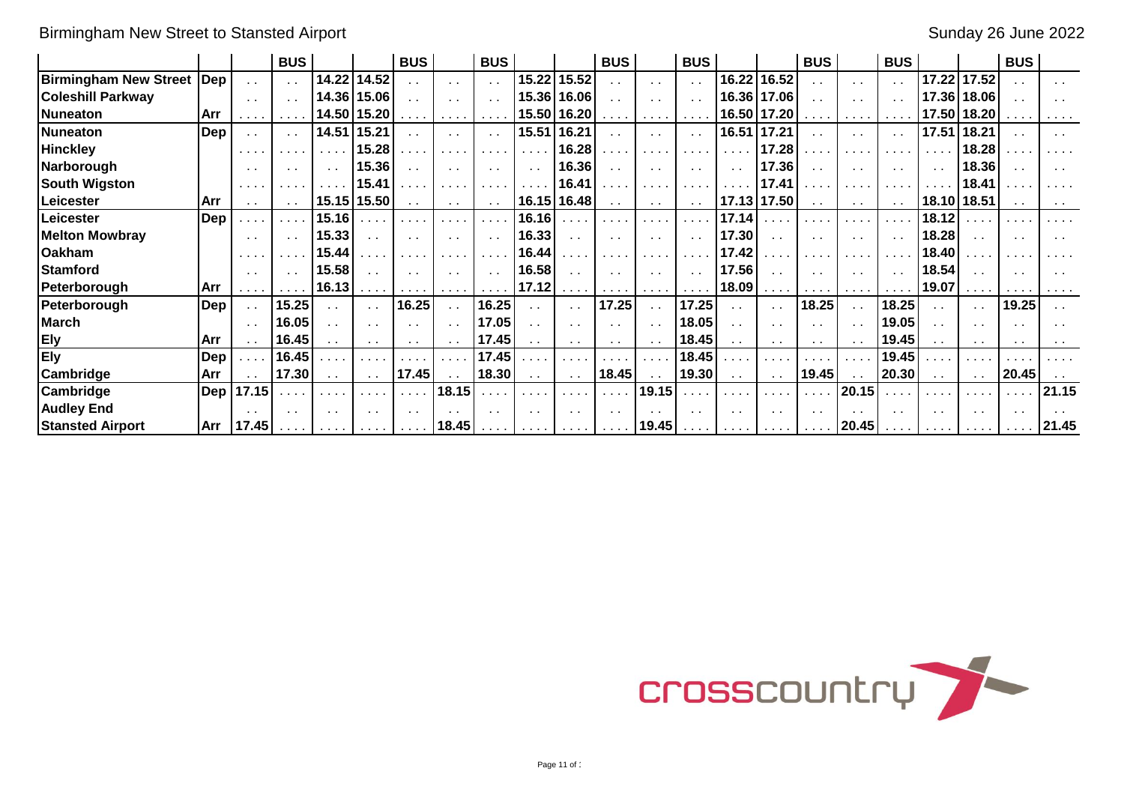# Birmingham New Street to Stansted Airport Sunday 26 June 2022

|                              |                  |                 | <b>BUS</b>                                                                                                      |                      |                                                       | <b>BUS</b>      |                                                                                                                                                                                                                                                                                                                                                                                                                        | <b>BUS</b>                                            |                         |                            | <b>BUS</b>                   |                                                                                                                                                                                                                                                                                                                                                                                                                        | <b>BUS</b>                  |                              |                                                                          | <b>BUS</b>                                         |                                                           | <b>BUS</b>                  |                              |                                                          | <b>BUS</b>                  |               |
|------------------------------|------------------|-----------------|-----------------------------------------------------------------------------------------------------------------|----------------------|-------------------------------------------------------|-----------------|------------------------------------------------------------------------------------------------------------------------------------------------------------------------------------------------------------------------------------------------------------------------------------------------------------------------------------------------------------------------------------------------------------------------|-------------------------------------------------------|-------------------------|----------------------------|------------------------------|------------------------------------------------------------------------------------------------------------------------------------------------------------------------------------------------------------------------------------------------------------------------------------------------------------------------------------------------------------------------------------------------------------------------|-----------------------------|------------------------------|--------------------------------------------------------------------------|----------------------------------------------------|-----------------------------------------------------------|-----------------------------|------------------------------|----------------------------------------------------------|-----------------------------|---------------|
| <b>Birmingham New Street</b> | $\sf l$ Dep      | $\sim$ $\sim$   | $\sim 10$                                                                                                       | 14.22                | 14.52                                                 | $\sim$          | $\sim$ $\sim$                                                                                                                                                                                                                                                                                                                                                                                                          |                                                       | 15.22                   | 15.52                      |                              | $\sim 10$                                                                                                                                                                                                                                                                                                                                                                                                              | $\sim$ $\sim$               | 16.22                        | 16.52                                                                    | . .                                                | $\sim$                                                    |                             | 17.22                        | 17.52                                                    |                             | $\sim$        |
| <b>Coleshill Parkway</b>     |                  | $\sim$ 10 $\pm$ | $\sim 100$                                                                                                      | 14.36                | 15.06                                                 | $\sim$ $\sim$   | $\sim$ $\sim$                                                                                                                                                                                                                                                                                                                                                                                                          |                                                       | 15.36                   | 16.06                      | $\ddot{\phantom{0}}$         | $\sim$ 10 $\pm$                                                                                                                                                                                                                                                                                                                                                                                                        | $\sim$ $\sim$               |                              | 16.36   17.06                                                            |                                                    |                                                           | $\sim$ $\sim$               | 17.36                        | 18.06                                                    |                             |               |
| Nuneaton                     | Arr              | .               |                                                                                                                 | 14.50                | 15.20                                                 | .               | $\mathbf{a}=\mathbf{a}+\mathbf{a}+\mathbf{a}+\mathbf{a}+\mathbf{a}+\mathbf{a}+\mathbf{a}+\mathbf{a}+\mathbf{a}+\mathbf{a}+\mathbf{a}+\mathbf{a}+\mathbf{a}+\mathbf{a}+\mathbf{a}+\mathbf{a}+\mathbf{a}+\mathbf{a}+\mathbf{a}+\mathbf{a}+\mathbf{a}+\mathbf{a}+\mathbf{a}+\mathbf{a}+\mathbf{a}+\mathbf{a}+\mathbf{a}+\mathbf{a}+\mathbf{a}+\mathbf{a}+\mathbf{a}+\mathbf{a}+\mathbf{a}+\mathbf{a}+\mathbf{a}+\mathbf{$ |                                                       |                         | 15.50 16.20                | .                            | $\mathbf{a}=\mathbf{a}+\mathbf{a}+\mathbf{a}+\mathbf{a}+\mathbf{a}+\mathbf{a}+\mathbf{a}+\mathbf{a}+\mathbf{a}+\mathbf{a}+\mathbf{a}+\mathbf{a}+\mathbf{a}+\mathbf{a}+\mathbf{a}+\mathbf{a}+\mathbf{a}+\mathbf{a}+\mathbf{a}+\mathbf{a}+\mathbf{a}+\mathbf{a}+\mathbf{a}+\mathbf{a}+\mathbf{a}+\mathbf{a}+\mathbf{a}+\mathbf{a}+\mathbf{a}+\mathbf{a}+\mathbf{a}+\mathbf{a}+\mathbf{a}+\mathbf{a}+\mathbf{a}+\mathbf{$ | $\cdots$                    |                              | 16.50 17.20                                                              | .                                                  | $\cdots$                                                  | $\sim$ $\sim$ $\sim$        |                              | 17.50 18.20                                              |                             | .             |
| <b>Nuneaton</b>              | Dep              |                 | $\sim 100$                                                                                                      | 14.51                | 15.21                                                 | $\sim$          | $\sim$                                                                                                                                                                                                                                                                                                                                                                                                                 |                                                       | 15.51                   | 16.21                      | $\mathbf{r}$                 | $\sim$ $\sim$                                                                                                                                                                                                                                                                                                                                                                                                          | $\sim$ $\sim$               | 16.51                        | 17.21                                                                    | . .                                                |                                                           | $\ddot{\phantom{0}}$        | 17.51                        | 18.21                                                    |                             | $\sim$        |
| <b>Hinckley</b>              |                  | .               | $\begin{array}{cccccccccccccc} \bullet & \bullet & \bullet & \bullet & \bullet & \bullet & \bullet \end{array}$ |                      | 15.28                                                 |                 | $\mathbf{r}$ , $\mathbf{r}$ , $\mathbf{r}$ , $\mathbf{r}$                                                                                                                                                                                                                                                                                                                                                              | .                                                     | $\sim 100$ km s $^{-1}$ | 16.28                      | .                            | .                                                                                                                                                                                                                                                                                                                                                                                                                      | .                           | .                            | 17.28                                                                    |                                                    | $\cdots$                                                  | $\sim$ $\sim$               | $\sim$ 10 $\sim$ 10 $\sim$   | 18.28                                                    |                             |               |
| Narborough                   |                  | $\sim$ $\sim$   | $\sim$ $\sim$                                                                                                   | $\sim$               | 15.36                                                 | $\sim$ 10 $\pm$ |                                                                                                                                                                                                                                                                                                                                                                                                                        |                                                       | $\sim$ $\sim$           | 16.36                      | $\sim$ $\sim$                | $\sim$ $\sim$                                                                                                                                                                                                                                                                                                                                                                                                          | $\sim$ $\sim$               | $\sim$ $\sim$                | 17.36                                                                    | $\sim$                                             |                                                           | $\sim$                      | $\sim$ $\sim$                | 18.36                                                    | $\sim$ $\sim$               |               |
| <b>South Wigston</b>         |                  | .               |                                                                                                                 |                      | 15.41                                                 |                 |                                                                                                                                                                                                                                                                                                                                                                                                                        |                                                       | $\sim$ $\sim$           | 16.41                      | .                            | .                                                                                                                                                                                                                                                                                                                                                                                                                      |                             |                              | 17.41                                                                    |                                                    | $\sim$ $\sim$ $\sim$ $\sim$                               |                             | $\sim$ $\sim$                | 18.41                                                    |                             |               |
| Leicester                    | Arr              |                 |                                                                                                                 |                      | 15.15 15.50                                           | $\sim$ $\sim$   | $\sim$ 10 $\pm$                                                                                                                                                                                                                                                                                                                                                                                                        |                                                       |                         | 16.15 16.48                | $\sim 10$                    | $\sim 10$                                                                                                                                                                                                                                                                                                                                                                                                              | $\sim$                      |                              | 17.13 17.50                                                              |                                                    | $\sim$ $\sim$                                             | $\sim$ $\sim$               |                              | 18.10 18.51                                              | $\sim$ $\sim$               |               |
| Leicester                    | Dep              | e a la          | .                                                                                                               | 15.16                |                                                       |                 | .                                                                                                                                                                                                                                                                                                                                                                                                                      |                                                       | 16.16                   | $\cdots$                   | $\cdots$                     | .                                                                                                                                                                                                                                                                                                                                                                                                                      | والمتعاد                    | 17.14                        |                                                                          |                                                    |                                                           | $\cdots$                    | 18.12                        |                                                          | .                           |               |
| <b>Melton Mowbray</b>        |                  | $\sim$ $\sim$   | $\sim$ $\sim$                                                                                                   | 15.33                | $\sim$ $\sim$                                         | $\sim$ 10 $\pm$ | $\sim$ $\sim$                                                                                                                                                                                                                                                                                                                                                                                                          | $\sim 100$                                            | 16.33                   | $\sim$ $\sim$              | $\sim$ $\sim$                | $\sim$ $\sim$                                                                                                                                                                                                                                                                                                                                                                                                          | $\sim$ $\sim$               | 17.30                        | $\sim 10$                                                                | $\sim$ $\sim$                                      | $\sim$ $\sim$                                             | $\sim$ $\sim$               | 18.28                        | $\sim$ $\sim$                                            | $\sim$ $\sim$               | $\sim$ $\sim$ |
| <b>Oakham</b>                |                  | .               | $\sim$ 100 $\sim$                                                                                               | 15.44                | $\cdots$                                              |                 |                                                                                                                                                                                                                                                                                                                                                                                                                        |                                                       | 16.44                   | .                          | $\sim$ $\sim$ $\sim$         | .                                                                                                                                                                                                                                                                                                                                                                                                                      |                             | 17.42                        |                                                                          |                                                    |                                                           |                             | 18.40                        |                                                          | $\sim$ 100 $\pm$            |               |
| <b>Stamford</b>              |                  | $\sim$ $\sim$   | $\mathbf{a}=\mathbf{a}$ .                                                                                       | 15.58                |                                                       |                 |                                                                                                                                                                                                                                                                                                                                                                                                                        |                                                       | 16.58                   | $\sim$ $\sim$              | $\sim$ $\sim$                | $\sim$ $\sim$                                                                                                                                                                                                                                                                                                                                                                                                          | $\sim$ $\sim$               | 17.56                        | $\sim$ 10 $\pm$                                                          |                                                    |                                                           | $\sim$ $\sim$               | 18.54                        |                                                          | $\sim$ $\sim$               |               |
| Peterborough                 | Arr              |                 |                                                                                                                 | 16.13                | $\sim$ 100 $\sim$ 100 $\sim$                          | .               | $\sim$ 100 $\sim$ 100 $\sim$                                                                                                                                                                                                                                                                                                                                                                                           | $\sim$ $\sim$ $\sim$ $\sim$                           | 17.12                   | <b>Service</b>             | $\sim$ 100 $\sim$ 100 $\sim$ | $\sim$ $\sim$ $\sim$ $\sim$                                                                                                                                                                                                                                                                                                                                                                                            | $\sim$ $\sim$ $\sim$ $\sim$ | 18.09                        | $\sim$ 100 $\sim$ 100 $\sim$                                             | $\mathbf{a}$ , and $\mathbf{a}$ , and $\mathbf{a}$ | $\sim$ 100 $\sim$ 100 $\sim$                              | $\sim$ $\sim$ $\sim$ $\sim$ | 19.07                        | $\mathbf{a}=\mathbf{a}+\mathbf{a}+\mathbf{a}+\mathbf{a}$ | .                           |               |
| Peterborough                 | Dep              | $\sim$ $\sim$   | 15.25                                                                                                           | $\ddot{\phantom{a}}$ | $\sim$ $\sim$                                         | 16.25           | $\sim 10^{-1}$                                                                                                                                                                                                                                                                                                                                                                                                         | 16.25                                                 | $\sim$ $\sim$           | $\sim$ $\sim$              | 17.25                        | $\sim$ $\sim$                                                                                                                                                                                                                                                                                                                                                                                                          | 17.25                       | $\sim$ $\sim$                | $\sim 10$                                                                | 18.25                                              | $\sim$ $\sim$                                             | 18.25                       | $\sim$ $\sim$                | $\sim$ $\sim$                                            | 19.25                       | $\sim$ $\sim$ |
| <b>March</b>                 |                  | $\sim$ $\sim$   | 16.05                                                                                                           | $\sim$               | $\sim$                                                | $\sim$          | $\sim$ $\sim$                                                                                                                                                                                                                                                                                                                                                                                                          | 17.05                                                 | $\sim$ $\sim$           | $\sim$ $\sim$              | $\sim$ $\sim$                | $\sim$ $\sim$                                                                                                                                                                                                                                                                                                                                                                                                          | 18.05                       | $\ddotsc$                    | $\sim$                                                                   | $\sim$                                             |                                                           | 19.05                       | $\sim$                       | $\ddot{\phantom{1}}$                                     | $\sim$ $\sim$               |               |
| <b>Ely</b>                   | Arr              | $\sim$ $\sim$   | 16.45                                                                                                           |                      | $\sim$ $\sim$                                         | $\sim 100$      |                                                                                                                                                                                                                                                                                                                                                                                                                        | 17.45                                                 | $\sim$ $\sim$           | $\sim$ $\sim$              | $\sim$                       | $\sim 10$                                                                                                                                                                                                                                                                                                                                                                                                              | 18.45                       | $\sim$ $\sim$                | $\sim$ 100 $\pm$                                                         | $\sim$                                             |                                                           | 19.45                       | $\sim$ 10 $\pm$              | $\sim$                                                   | $\sim$ $\sim$               |               |
| <b>Ely</b>                   | Dep              | .               | 16.45                                                                                                           |                      |                                                       |                 |                                                                                                                                                                                                                                                                                                                                                                                                                        | 17.45                                                 |                         | $\sim$ 10 $\sim$ 10 $\sim$ | .                            | $\cdots$                                                                                                                                                                                                                                                                                                                                                                                                               | 18.45                       | in an                        |                                                                          |                                                    | $\mathbf{r}$ , $\mathbf{r}$ , $\mathbf{r}$ , $\mathbf{r}$ | 19.45                       |                              |                                                          |                             |               |
| Cambridge                    | Arr              |                 | 17.30                                                                                                           |                      | $\sim$ $\sim$                                         | 17.45           |                                                                                                                                                                                                                                                                                                                                                                                                                        | 18.30                                                 | $\sim$ 10 $\pm$         | $\sim$ $\sim$              | 18.45                        | $\sim 10$                                                                                                                                                                                                                                                                                                                                                                                                              | 19.30                       | $\sim$ $\sim$                | $\sim$ $\sim$                                                            | 19.45                                              |                                                           | 20.30                       | $\sim$ $\sim$                | $\sim$ $\sim$                                            | 20.45                       |               |
| Cambridge                    | Dep <sub>l</sub> | 17.15           |                                                                                                                 |                      | $\sim$ $\sim$                                         |                 | 18.15                                                                                                                                                                                                                                                                                                                                                                                                                  |                                                       |                         | $\sim$ 10 $\sim$ 10 $\sim$ | $\sim$ $\sim$ $\sim$         | 19.15                                                                                                                                                                                                                                                                                                                                                                                                                  |                             |                              |                                                                          |                                                    | 20.15                                                     |                             |                              |                                                          | e a la                      | 21.15         |
| <b>Audley End</b>            |                  | $\sim$          | $\sim$                                                                                                          | $\sim$               | $\sim$ $\sim$                                         | $\sim$          |                                                                                                                                                                                                                                                                                                                                                                                                                        |                                                       | $\sim$ $\sim$           | $\sim$                     | $\sim$                       |                                                                                                                                                                                                                                                                                                                                                                                                                        | $\sim$ $\sim$               | $\sim$ $\sim$                | $\sim$ $\sim$                                                            |                                                    |                                                           | $\sim$ $\sim$               | $\sim$ $\sim$                | $\sim$ $\sim$                                            | $\sim$ $\sim$               |               |
| <b>Stansted Airport</b>      | Arr              | 17.45           |                                                                                                                 |                      | $\mathcal{A}$ , and $\mathcal{A}$ , and $\mathcal{A}$ |                 | $\ldots$   18.45                                                                                                                                                                                                                                                                                                                                                                                                       | $\mathcal{A}$ , and $\mathcal{A}$ , and $\mathcal{A}$ | <b>Service</b>          | <b>Contract Contract</b>   |                              | $\ldots$   19.45   $\ldots$                                                                                                                                                                                                                                                                                                                                                                                            |                             | $\sim$ 100 $\sim$ 100 $\sim$ | $\mathbf{a}$ , $\mathbf{a}$ , $\mathbf{a}$ , $\mathbf{a}$ , $\mathbf{a}$ |                                                    | $\ldots$   20.45                                          | .                           | $\sim$ 100 $\sim$ 100 $\sim$ |                                                          | $\sim$ $\sim$ $\sim$ $\sim$ | 21.45         |